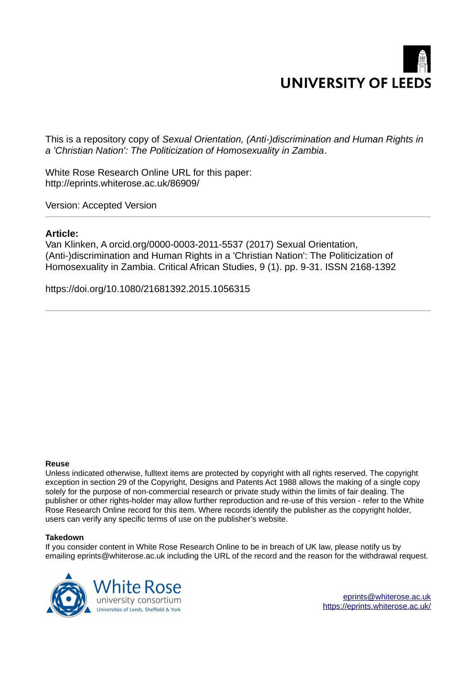

This is a repository copy of *Sexual Orientation, (Anti-)discrimination and Human Rights in a 'Christian Nation': The Politicization of Homosexuality in Zambia*.

White Rose Research Online URL for this paper: http://eprints.whiterose.ac.uk/86909/

Version: Accepted Version

## **Article:**

Van Klinken, A orcid.org/0000-0003-2011-5537 (2017) Sexual Orientation, (Anti-)discrimination and Human Rights in a 'Christian Nation': The Politicization of Homosexuality in Zambia. Critical African Studies, 9 (1). pp. 9-31. ISSN 2168-1392

https://doi.org/10.1080/21681392.2015.1056315

#### **Reuse**

Unless indicated otherwise, fulltext items are protected by copyright with all rights reserved. The copyright exception in section 29 of the Copyright, Designs and Patents Act 1988 allows the making of a single copy solely for the purpose of non-commercial research or private study within the limits of fair dealing. The publisher or other rights-holder may allow further reproduction and re-use of this version - refer to the White Rose Research Online record for this item. Where records identify the publisher as the copyright holder, users can verify any specific terms of use on the publisher's website.

#### **Takedown**

If you consider content in White Rose Research Online to be in breach of UK law, please notify us by emailing eprints@whiterose.ac.uk including the URL of the record and the reason for the withdrawal request.

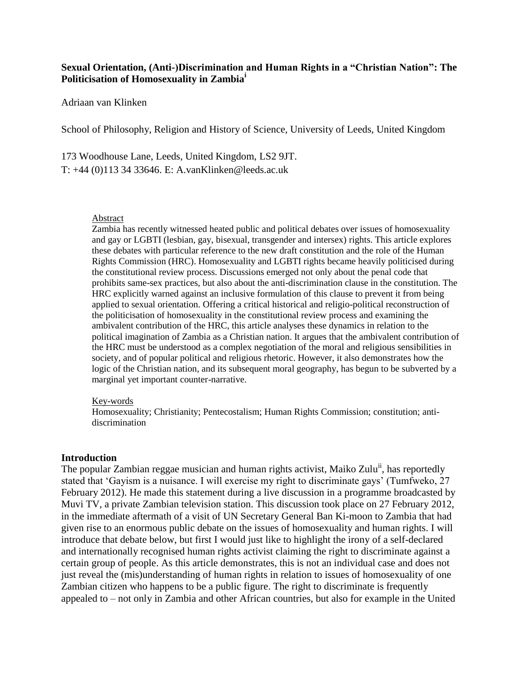# **Sexual Orientation, (Anti-)Discrimination and Human Rights in a "Christian Nation": The Politicisation of Homosexuality in Zambia<sup>i</sup>**

## Adriaan van Klinken

School of Philosophy, Religion and History of Science, University of Leeds, United Kingdom

173 Woodhouse Lane, Leeds, United Kingdom, LS2 9JT. T: +44 (0)113 34 33646. E: A.vanKlinken@leeds.ac.uk

#### Abstract

Zambia has recently witnessed heated public and political debates over issues of homosexuality and gay or LGBTI (lesbian, gay, bisexual, transgender and intersex) rights. This article explores these debates with particular reference to the new draft constitution and the role of the Human Rights Commission (HRC). Homosexuality and LGBTI rights became heavily politicised during the constitutional review process. Discussions emerged not only about the penal code that prohibits same-sex practices, but also about the anti-discrimination clause in the constitution. The HRC explicitly warned against an inclusive formulation of this clause to prevent it from being applied to sexual orientation. Offering a critical historical and religio-political reconstruction of the politicisation of homosexuality in the constitutional review process and examining the ambivalent contribution of the HRC, this article analyses these dynamics in relation to the political imagination of Zambia as a Christian nation. It argues that the ambivalent contribution of the HRC must be understood as a complex negotiation of the moral and religious sensibilities in society, and of popular political and religious rhetoric. However, it also demonstrates how the logic of the Christian nation, and its subsequent moral geography, has begun to be subverted by a marginal yet important counter-narrative.

#### Key-words

Homosexuality; Christianity; Pentecostalism; Human Rights Commission; constitution; antidiscrimination

## **Introduction**

The popular Zambian reggae musician and human rights activist, Maiko Zulu<sup>ii</sup>, has reportedly stated that 'Gayism is a nuisance. I will exercise my right to discriminate gays' (Tumfweko, 27 February 2012). He made this statement during a live discussion in a programme broadcasted by Muvi TV, a private Zambian television station. This discussion took place on 27 February 2012, in the immediate aftermath of a visit of UN Secretary General Ban Ki-moon to Zambia that had given rise to an enormous public debate on the issues of homosexuality and human rights. I will introduce that debate below, but first I would just like to highlight the irony of a self-declared and internationally recognised human rights activist claiming the right to discriminate against a certain group of people. As this article demonstrates, this is not an individual case and does not just reveal the (mis)understanding of human rights in relation to issues of homosexuality of one Zambian citizen who happens to be a public figure. The right to discriminate is frequently appealed to – not only in Zambia and other African countries, but also for example in the United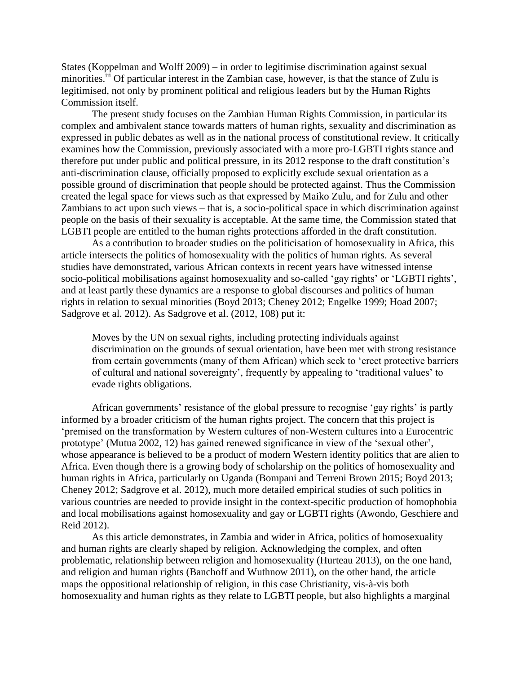States (Koppelman and Wolff 2009) – in order to legitimise discrimination against sexual minorities.<sup>iii</sup> Of particular interest in the Zambian case, however, is that the stance of Zulu is legitimised, not only by prominent political and religious leaders but by the Human Rights Commission itself.

The present study focuses on the Zambian Human Rights Commission, in particular its complex and ambivalent stance towards matters of human rights, sexuality and discrimination as expressed in public debates as well as in the national process of constitutional review. It critically examines how the Commission, previously associated with a more pro-LGBTI rights stance and therefore put under public and political pressure, in its 2012 response to the draft constitution's anti-discrimination clause, officially proposed to explicitly exclude sexual orientation as a possible ground of discrimination that people should be protected against. Thus the Commission created the legal space for views such as that expressed by Maiko Zulu, and for Zulu and other Zambians to act upon such views – that is, a socio-political space in which discrimination against people on the basis of their sexuality is acceptable. At the same time, the Commission stated that LGBTI people are entitled to the human rights protections afforded in the draft constitution.

 As a contribution to broader studies on the politicisation of homosexuality in Africa, this article intersects the politics of homosexuality with the politics of human rights. As several studies have demonstrated, various African contexts in recent years have witnessed intense socio-political mobilisations against homosexuality and so-called 'gay rights' or 'LGBTI rights', and at least partly these dynamics are a response to global discourses and politics of human rights in relation to sexual minorities (Boyd 2013; Cheney 2012; Engelke 1999; Hoad 2007; Sadgrove et al. 2012). As Sadgrove et al. (2012, 108) put it:

Moves by the UN on sexual rights, including protecting individuals against discrimination on the grounds of sexual orientation, have been met with strong resistance from certain governments (many of them African) which seek to 'erect protective barriers of cultural and national sovereignty', frequently by appealing to 'traditional values' to evade rights obligations.

African governments' resistance of the global pressure to recognise 'gay rights' is partly informed by a broader criticism of the human rights project. The concern that this project is 'premised on the transformation by Western cultures of non-Western cultures into a Eurocentric prototype' (Mutua 2002, 12) has gained renewed significance in view of the 'sexual other', whose appearance is believed to be a product of modern Western identity politics that are alien to Africa. Even though there is a growing body of scholarship on the politics of homosexuality and human rights in Africa, particularly on Uganda (Bompani and Terreni Brown 2015; Boyd 2013; Cheney 2012; Sadgrove et al. 2012), much more detailed empirical studies of such politics in various countries are needed to provide insight in the context-specific production of homophobia and local mobilisations against homosexuality and gay or LGBTI rights (Awondo, Geschiere and Reid 2012).

 As this article demonstrates, in Zambia and wider in Africa, politics of homosexuality and human rights are clearly shaped by religion. Acknowledging the complex, and often problematic, relationship between religion and homosexuality (Hurteau 2013), on the one hand, and religion and human rights (Banchoff and Wuthnow 2011), on the other hand, the article maps the oppositional relationship of religion, in this case Christianity, vis-à-vis both homosexuality and human rights as they relate to LGBTI people, but also highlights a marginal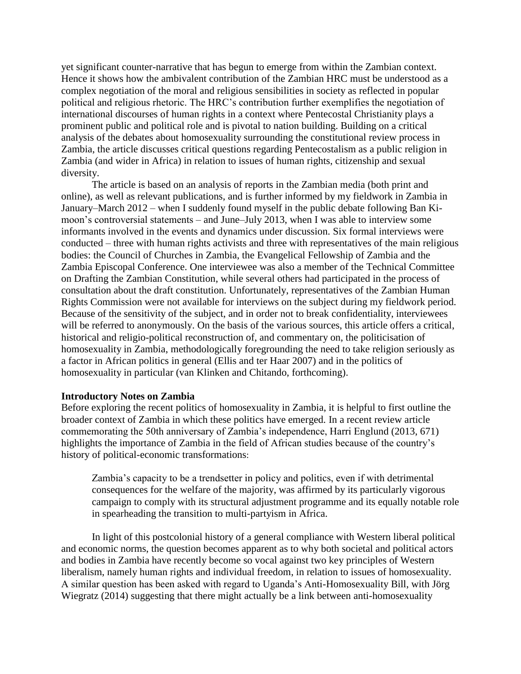yet significant counter-narrative that has begun to emerge from within the Zambian context. Hence it shows how the ambivalent contribution of the Zambian HRC must be understood as a complex negotiation of the moral and religious sensibilities in society as reflected in popular political and religious rhetoric. The HRC's contribution further exemplifies the negotiation of international discourses of human rights in a context where Pentecostal Christianity plays a prominent public and political role and is pivotal to nation building. Building on a critical analysis of the debates about homosexuality surrounding the constitutional review process in Zambia, the article discusses critical questions regarding Pentecostalism as a public religion in Zambia (and wider in Africa) in relation to issues of human rights, citizenship and sexual diversity.

 The article is based on an analysis of reports in the Zambian media (both print and online), as well as relevant publications, and is further informed by my fieldwork in Zambia in January–March 2012 – when I suddenly found myself in the public debate following Ban Kimoon's controversial statements – and June–July 2013, when I was able to interview some informants involved in the events and dynamics under discussion. Six formal interviews were conducted – three with human rights activists and three with representatives of the main religious bodies: the Council of Churches in Zambia, the Evangelical Fellowship of Zambia and the Zambia Episcopal Conference. One interviewee was also a member of the Technical Committee on Drafting the Zambian Constitution, while several others had participated in the process of consultation about the draft constitution. Unfortunately, representatives of the Zambian Human Rights Commission were not available for interviews on the subject during my fieldwork period. Because of the sensitivity of the subject, and in order not to break confidentiality, interviewees will be referred to anonymously. On the basis of the various sources, this article offers a critical, historical and religio-political reconstruction of, and commentary on, the politicisation of homosexuality in Zambia, methodologically foregrounding the need to take religion seriously as a factor in African politics in general (Ellis and ter Haar 2007) and in the politics of homosexuality in particular (van Klinken and Chitando, forthcoming).

## **Introductory Notes on Zambia**

Before exploring the recent politics of homosexuality in Zambia, it is helpful to first outline the broader context of Zambia in which these politics have emerged. In a recent review article commemorating the 50th anniversary of Zambia's independence, Harri Englund (2013, 671) highlights the importance of Zambia in the field of African studies because of the country's history of political-economic transformations:

Zambia's capacity to be a trendsetter in policy and politics, even if with detrimental consequences for the welfare of the majority, was affirmed by its particularly vigorous campaign to comply with its structural adjustment programme and its equally notable role in spearheading the transition to multi-partyism in Africa.

In light of this postcolonial history of a general compliance with Western liberal political and economic norms, the question becomes apparent as to why both societal and political actors and bodies in Zambia have recently become so vocal against two key principles of Western liberalism, namely human rights and individual freedom, in relation to issues of homosexuality. A similar question has been asked with regard to Uganda's Anti-Homosexuality Bill, with Jörg Wiegratz (2014) suggesting that there might actually be a link between anti-homosexuality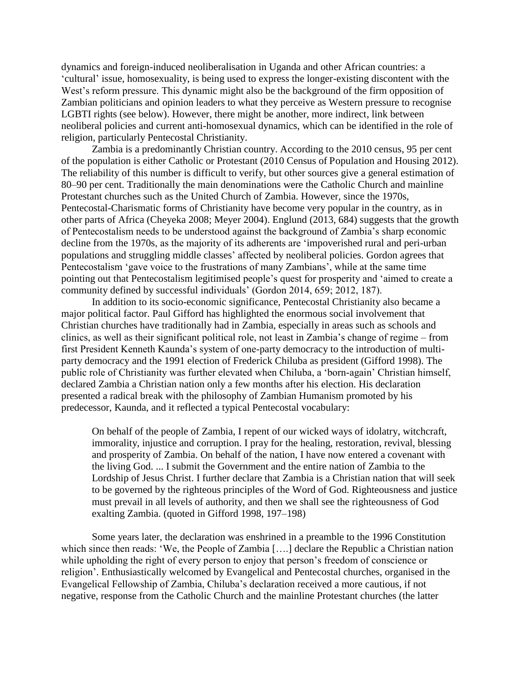dynamics and foreign-induced neoliberalisation in Uganda and other African countries: a 'cultural' issue, homosexuality, is being used to express the longer-existing discontent with the West's reform pressure. This dynamic might also be the background of the firm opposition of Zambian politicians and opinion leaders to what they perceive as Western pressure to recognise LGBTI rights (see below). However, there might be another, more indirect, link between neoliberal policies and current anti-homosexual dynamics, which can be identified in the role of religion, particularly Pentecostal Christianity.

Zambia is a predominantly Christian country. According to the 2010 census, 95 per cent of the population is either Catholic or Protestant (2010 Census of Population and Housing 2012). The reliability of this number is difficult to verify, but other sources give a general estimation of 80–90 per cent. Traditionally the main denominations were the Catholic Church and mainline Protestant churches such as the United Church of Zambia. However, since the 1970s, Pentecostal-Charismatic forms of Christianity have become very popular in the country, as in other parts of Africa (Cheyeka 2008; Meyer 2004). Englund (2013, 684) suggests that the growth of Pentecostalism needs to be understood against the background of Zambia's sharp economic decline from the 1970s, as the majority of its adherents are 'impoverished rural and peri-urban populations and struggling middle classes' affected by neoliberal policies. Gordon agrees that Pentecostalism 'gave voice to the frustrations of many Zambians', while at the same time pointing out that Pentecostalism legitimised people's quest for prosperity and 'aimed to create a community defined by successful individuals' (Gordon 2014, 659; 2012, 187).

In addition to its socio-economic significance, Pentecostal Christianity also became a major political factor. Paul Gifford has highlighted the enormous social involvement that Christian churches have traditionally had in Zambia, especially in areas such as schools and clinics, as well as their significant political role, not least in Zambia's change of regime – from first President Kenneth Kaunda's system of one-party democracy to the introduction of multiparty democracy and the 1991 election of Frederick Chiluba as president (Gifford 1998). The public role of Christianity was further elevated when Chiluba, a 'born-again' Christian himself, declared Zambia a Christian nation only a few months after his election. His declaration presented a radical break with the philosophy of Zambian Humanism promoted by his predecessor, Kaunda, and it reflected a typical Pentecostal vocabulary:

On behalf of the people of Zambia, I repent of our wicked ways of idolatry, witchcraft, immorality, injustice and corruption. I pray for the healing, restoration, revival, blessing and prosperity of Zambia. On behalf of the nation, I have now entered a covenant with the living God. ... I submit the Government and the entire nation of Zambia to the Lordship of Jesus Christ. I further declare that Zambia is a Christian nation that will seek to be governed by the righteous principles of the Word of God. Righteousness and justice must prevail in all levels of authority, and then we shall see the righteousness of God exalting Zambia. (quoted in Gifford 1998, 197–198)

Some years later, the declaration was enshrined in a preamble to the 1996 Constitution which since then reads: 'We, the People of Zambia [...] declare the Republic a Christian nation while upholding the right of every person to enjoy that person's freedom of conscience or religion'. Enthusiastically welcomed by Evangelical and Pentecostal churches, organised in the Evangelical Fellowship of Zambia, Chiluba's declaration received a more cautious, if not negative, response from the Catholic Church and the mainline Protestant churches (the latter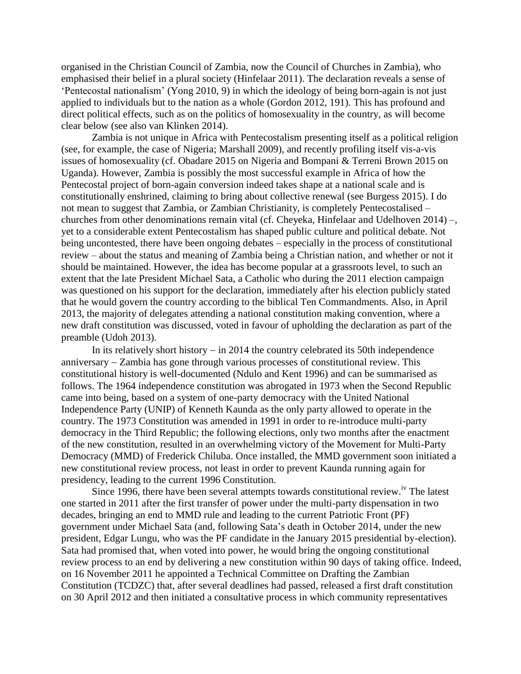organised in the Christian Council of Zambia, now the Council of Churches in Zambia), who emphasised their belief in a plural society (Hinfelaar 2011). The declaration reveals a sense of 'Pentecostal nationalism' (Yong 2010, 9) in which the ideology of being born-again is not just applied to individuals but to the nation as a whole (Gordon 2012, 191). This has profound and direct political effects, such as on the politics of homosexuality in the country, as will become clear below (see also van Klinken 2014).

Zambia is not unique in Africa with Pentecostalism presenting itself as a political religion (see, for example, the case of Nigeria; Marshall 2009), and recently profiling itself vis-a-vis issues of homosexuality (cf. Obadare 2015 on Nigeria and Bompani & Terreni Brown 2015 on Uganda). However, Zambia is possibly the most successful example in Africa of how the Pentecostal project of born-again conversion indeed takes shape at a national scale and is constitutionally enshrined, claiming to bring about collective renewal (see Burgess 2015). I do not mean to suggest that Zambia, or Zambian Christianity, is completely Pentecostalised – churches from other denominations remain vital (cf. Cheyeka, Hinfelaar and Udelhoven 2014) –, yet to a considerable extent Pentecostalism has shaped public culture and political debate. Not being uncontested, there have been ongoing debates – especially in the process of constitutional review – about the status and meaning of Zambia being a Christian nation, and whether or not it should be maintained. However, the idea has become popular at a grassroots level, to such an extent that the late President Michael Sata, a Catholic who during the 2011 election campaign was questioned on his support for the declaration, immediately after his election publicly stated that he would govern the country according to the biblical Ten Commandments. Also, in April 2013, the majority of delegates attending a national constitution making convention, where a new draft constitution was discussed, voted in favour of upholding the declaration as part of the preamble (Udoh 2013).

In its relatively short history  $-$  in 2014 the country celebrated its 50th independence  $anniversary - Zambia$  has gone through various processes of constitutional review. This constitutional history is well-documented (Ndulo and Kent 1996) and can be summarised as follows. The 1964 independence constitution was abrogated in 1973 when the Second Republic came into being, based on a system of one-party democracy with the United National Independence Party (UNIP) of Kenneth Kaunda as the only party allowed to operate in the country. The 1973 Constitution was amended in 1991 in order to re-introduce multi-party democracy in the Third Republic; the following elections, only two months after the enactment of the new constitution, resulted in an overwhelming victory of the Movement for Multi-Party Democracy (MMD) of Frederick Chiluba. Once installed, the MMD government soon initiated a new constitutional review process, not least in order to prevent Kaunda running again for presidency, leading to the current 1996 Constitution.

Since 1996, there have been several attempts towards constitutional review.<sup>iv</sup> The latest one started in 2011 after the first transfer of power under the multi-party dispensation in two decades, bringing an end to MMD rule and leading to the current Patriotic Front (PF) government under Michael Sata (and, following Sata's death in October 2014, under the new president, Edgar Lungu, who was the PF candidate in the January 2015 presidential by-election). Sata had promised that, when voted into power, he would bring the ongoing constitutional review process to an end by delivering a new constitution within 90 days of taking office. Indeed, on 16 November 2011 he appointed a Technical Committee on Drafting the Zambian Constitution (TCDZC) that, after several deadlines had passed, released a first draft constitution on 30 April 2012 and then initiated a consultative process in which community representatives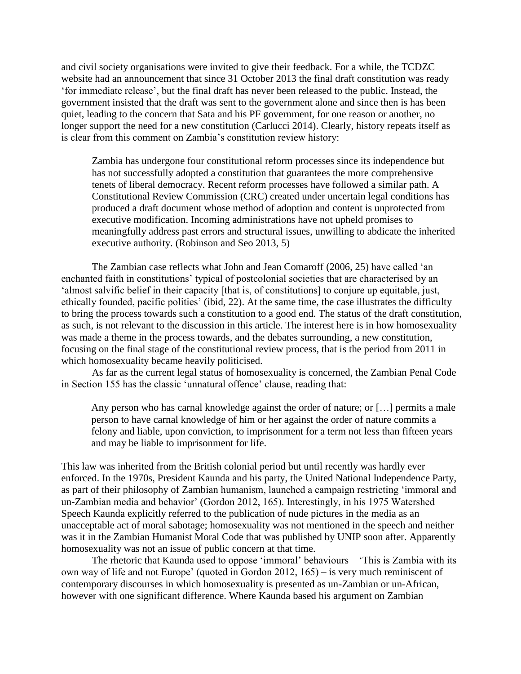and civil society organisations were invited to give their feedback. For a while, the TCDZC website had an announcement that since 31 October 2013 the final draft constitution was ready 'for immediate release', but the final draft has never been released to the public. Instead, the government insisted that the draft was sent to the government alone and since then is has been quiet, leading to the concern that Sata and his PF government, for one reason or another, no longer support the need for a new constitution (Carlucci 2014). Clearly, history repeats itself as is clear from this comment on Zambia's constitution review history:

Zambia has undergone four constitutional reform processes since its independence but has not successfully adopted a constitution that guarantees the more comprehensive tenets of liberal democracy. Recent reform processes have followed a similar path. A Constitutional Review Commission (CRC) created under uncertain legal conditions has produced a draft document whose method of adoption and content is unprotected from executive modification. Incoming administrations have not upheld promises to meaningfully address past errors and structural issues, unwilling to abdicate the inherited executive authority. (Robinson and Seo 2013, 5)

The Zambian case reflects what John and Jean Comaroff (2006, 25) have called 'an enchanted faith in constitutions' typical of postcolonial societies that are characterised by an 'almost salvific belief in their capacity [that is, of constitutions] to conjure up equitable, just, ethically founded, pacific polities' (ibid, 22). At the same time, the case illustrates the difficulty to bring the process towards such a constitution to a good end. The status of the draft constitution, as such, is not relevant to the discussion in this article. The interest here is in how homosexuality was made a theme in the process towards, and the debates surrounding, a new constitution, focusing on the final stage of the constitutional review process, that is the period from 2011 in which homosexuality became heavily politicised.

 As far as the current legal status of homosexuality is concerned, the Zambian Penal Code in Section 155 has the classic 'unnatural offence' clause, reading that:

Any person who has carnal knowledge against the order of nature; or […] permits a male person to have carnal knowledge of him or her against the order of nature commits a felony and liable, upon conviction, to imprisonment for a term not less than fifteen years and may be liable to imprisonment for life.

This law was inherited from the British colonial period but until recently was hardly ever enforced. In the 1970s, President Kaunda and his party, the United National Independence Party, as part of their philosophy of Zambian humanism, launched a campaign restricting 'immoral and un-Zambian media and behavior' (Gordon 2012, 165). Interestingly, in his 1975 Watershed Speech Kaunda explicitly referred to the publication of nude pictures in the media as an unacceptable act of moral sabotage; homosexuality was not mentioned in the speech and neither was it in the Zambian Humanist Moral Code that was published by UNIP soon after. Apparently homosexuality was not an issue of public concern at that time.

The rhetoric that Kaunda used to oppose 'immoral' behaviours – 'This is Zambia with its own way of life and not Europe' (quoted in Gordon 2012, 165) – is very much reminiscent of contemporary discourses in which homosexuality is presented as un-Zambian or un-African, however with one significant difference. Where Kaunda based his argument on Zambian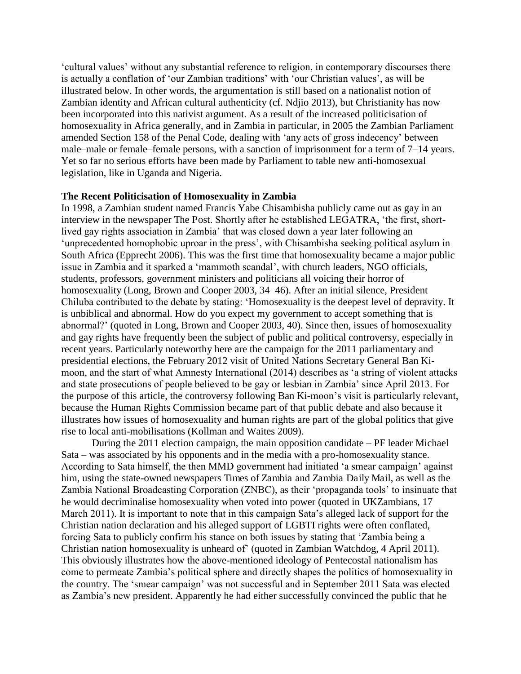'cultural values' without any substantial reference to religion, in contemporary discourses there is actually a conflation of 'our Zambian traditions' with 'our Christian values', as will be illustrated below. In other words, the argumentation is still based on a nationalist notion of Zambian identity and African cultural authenticity (cf. Ndjio 2013), but Christianity has now been incorporated into this nativist argument. As a result of the increased politicisation of homosexuality in Africa generally, and in Zambia in particular, in 2005 the Zambian Parliament amended Section 158 of the Penal Code, dealing with 'any acts of gross indecency' between male–male or female–female persons, with a sanction of imprisonment for a term of 7–14 years. Yet so far no serious efforts have been made by Parliament to table new anti-homosexual legislation, like in Uganda and Nigeria.

## **The Recent Politicisation of Homosexuality in Zambia**

In 1998, a Zambian student named Francis Yabe Chisambisha publicly came out as gay in an interview in the newspaper The Post. Shortly after he established LEGATRA, 'the first, shortlived gay rights association in Zambia' that was closed down a year later following an 'unprecedented homophobic uproar in the press', with Chisambisha seeking political asylum in South Africa (Epprecht 2006). This was the first time that homosexuality became a major public issue in Zambia and it sparked a 'mammoth scandal', with church leaders, NGO officials, students, professors, government ministers and politicians all voicing their horror of homosexuality (Long, Brown and Cooper 2003, 34–46). After an initial silence, President Chiluba contributed to the debate by stating: 'Homosexuality is the deepest level of depravity. It is unbiblical and abnormal. How do you expect my government to accept something that is abnormal?' (quoted in Long, Brown and Cooper 2003, 40). Since then, issues of homosexuality and gay rights have frequently been the subject of public and political controversy, especially in recent years. Particularly noteworthy here are the campaign for the 2011 parliamentary and presidential elections, the February 2012 visit of United Nations Secretary General Ban Kimoon, and the start of what Amnesty International (2014) describes as 'a string of violent attacks and state prosecutions of people believed to be gay or lesbian in Zambia' since April 2013. For the purpose of this article, the controversy following Ban Ki-moon's visit is particularly relevant, because the Human Rights Commission became part of that public debate and also because it illustrates how issues of homosexuality and human rights are part of the global politics that give rise to local anti-mobilisations (Kollman and Waites 2009).

 During the 2011 election campaign, the main opposition candidate – PF leader Michael Sata – was associated by his opponents and in the media with a pro-homosexuality stance. According to Sata himself, the then MMD government had initiated 'a smear campaign' against him, using the state-owned newspapers Times of Zambia and Zambia Daily Mail, as well as the Zambia National Broadcasting Corporation (ZNBC), as their 'propaganda tools' to insinuate that he would decriminalise homosexuality when voted into power (quoted in UKZambians, 17 March 2011). It is important to note that in this campaign Sata's alleged lack of support for the Christian nation declaration and his alleged support of LGBTI rights were often conflated, forcing Sata to publicly confirm his stance on both issues by stating that 'Zambia being a Christian nation homosexuality is unheard of' (quoted in Zambian Watchdog, 4 April 2011). This obviously illustrates how the above-mentioned ideology of Pentecostal nationalism has come to permeate Zambia's political sphere and directly shapes the politics of homosexuality in the country. The 'smear campaign' was not successful and in September 2011 Sata was elected as Zambia's new president. Apparently he had either successfully convinced the public that he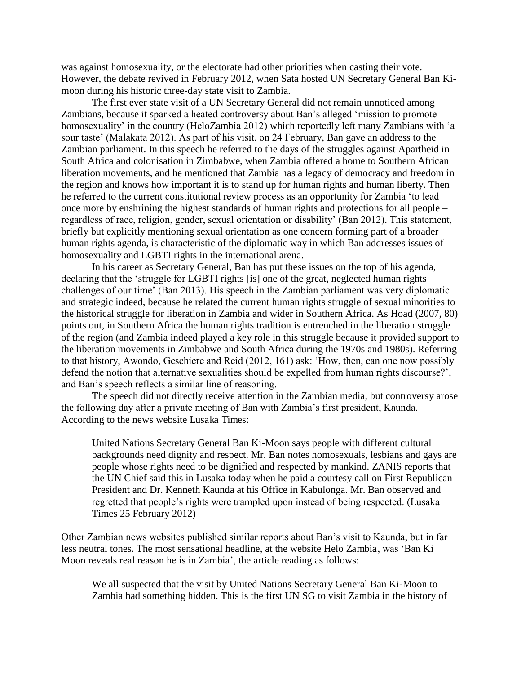was against homosexuality, or the electorate had other priorities when casting their vote. However, the debate revived in February 2012, when Sata hosted UN Secretary General Ban Kimoon during his historic three-day state visit to Zambia.

The first ever state visit of a UN Secretary General did not remain unnoticed among Zambians, because it sparked a heated controversy about Ban's alleged 'mission to promote homosexuality' in the country (HeloZambia 2012) which reportedly left many Zambians with 'a sour taste' (Malakata 2012). As part of his visit, on 24 February, Ban gave an address to the Zambian parliament. In this speech he referred to the days of the struggles against Apartheid in South Africa and colonisation in Zimbabwe, when Zambia offered a home to Southern African liberation movements, and he mentioned that Zambia has a legacy of democracy and freedom in the region and knows how important it is to stand up for human rights and human liberty. Then he referred to the current constitutional review process as an opportunity for Zambia 'to lead once more by enshrining the highest standards of human rights and protections for all people – regardless of race, religion, gender, sexual orientation or disability' (Ban 2012). This statement, briefly but explicitly mentioning sexual orientation as one concern forming part of a broader human rights agenda, is characteristic of the diplomatic way in which Ban addresses issues of homosexuality and LGBTI rights in the international arena.

In his career as Secretary General, Ban has put these issues on the top of his agenda, declaring that the 'struggle for LGBTI rights [is] one of the great, neglected human rights challenges of our time' (Ban 2013). His speech in the Zambian parliament was very diplomatic and strategic indeed, because he related the current human rights struggle of sexual minorities to the historical struggle for liberation in Zambia and wider in Southern Africa. As Hoad (2007, 80) points out, in Southern Africa the human rights tradition is entrenched in the liberation struggle of the region (and Zambia indeed played a key role in this struggle because it provided support to the liberation movements in Zimbabwe and South Africa during the 1970s and 1980s). Referring to that history, Awondo, Geschiere and Reid (2012, 161) ask: 'How, then, can one now possibly defend the notion that alternative sexualities should be expelled from human rights discourse?', and Ban's speech reflects a similar line of reasoning.

The speech did not directly receive attention in the Zambian media, but controversy arose the following day after a private meeting of Ban with Zambia's first president, Kaunda. According to the news website Lusaka Times:

United Nations Secretary General Ban Ki-Moon says people with different cultural backgrounds need dignity and respect. Mr. Ban notes homosexuals, lesbians and gays are people whose rights need to be dignified and respected by mankind. ZANIS reports that the UN Chief said this in Lusaka today when he paid a courtesy call on First Republican President and Dr. Kenneth Kaunda at his Office in Kabulonga. Mr. Ban observed and regretted that people's rights were trampled upon instead of being respected. (Lusaka Times 25 February 2012)

Other Zambian news websites published similar reports about Ban's visit to Kaunda, but in far less neutral tones. The most sensational headline, at the website Helo Zambia, was 'Ban Ki Moon reveals real reason he is in Zambia', the article reading as follows:

We all suspected that the visit by United Nations Secretary General Ban Ki-Moon to Zambia had something hidden. This is the first UN SG to visit Zambia in the history of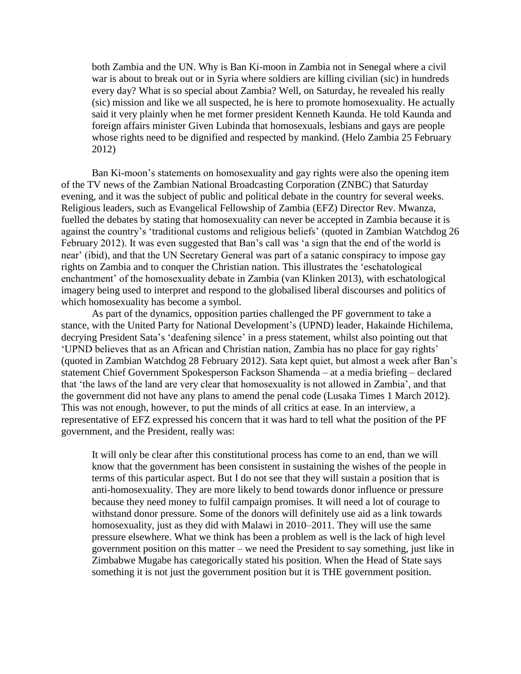both Zambia and the UN. Why is Ban Ki-moon in Zambia not in Senegal where a civil war is about to break out or in Syria where soldiers are killing civilian (sic) in hundreds every day? What is so special about Zambia? Well, on Saturday, he revealed his really (sic) mission and like we all suspected, he is here to promote homosexuality. He actually said it very plainly when he met former president Kenneth Kaunda. He told Kaunda and foreign affairs minister Given Lubinda that homosexuals, lesbians and gays are people whose rights need to be dignified and respected by mankind. (Helo Zambia 25 February 2012)

Ban Ki-moon's statements on homosexuality and gay rights were also the opening item of the TV news of the Zambian National Broadcasting Corporation (ZNBC) that Saturday evening, and it was the subject of public and political debate in the country for several weeks. Religious leaders, such as Evangelical Fellowship of Zambia (EFZ) Director Rev. Mwanza, fuelled the debates by stating that homosexuality can never be accepted in Zambia because it is against the country's 'traditional customs and religious beliefs' (quoted in Zambian Watchdog 26 February 2012). It was even suggested that Ban's call was 'a sign that the end of the world is near' (ibid), and that the UN Secretary General was part of a satanic conspiracy to impose gay rights on Zambia and to conquer the Christian nation. This illustrates the 'eschatological enchantment' of the homosexuality debate in Zambia (van Klinken 2013), with eschatological imagery being used to interpret and respond to the globalised liberal discourses and politics of which homosexuality has become a symbol.

 As part of the dynamics, opposition parties challenged the PF government to take a stance, with the United Party for National Development's (UPND) leader, Hakainde Hichilema, decrying President Sata's 'deafening silence' in a press statement, whilst also pointing out that 'UPND believes that as an African and Christian nation, Zambia has no place for gay rights' (quoted in Zambian Watchdog 28 February 2012). Sata kept quiet, but almost a week after Ban's statement Chief Government Spokesperson Fackson Shamenda – at a media briefing – declared that 'the laws of the land are very clear that homosexuality is not allowed in Zambia', and that the government did not have any plans to amend the penal code (Lusaka Times 1 March 2012). This was not enough, however, to put the minds of all critics at ease. In an interview, a representative of EFZ expressed his concern that it was hard to tell what the position of the PF government, and the President, really was:

It will only be clear after this constitutional process has come to an end, than we will know that the government has been consistent in sustaining the wishes of the people in terms of this particular aspect. But I do not see that they will sustain a position that is anti-homosexuality. They are more likely to bend towards donor influence or pressure because they need money to fulfil campaign promises. It will need a lot of courage to withstand donor pressure. Some of the donors will definitely use aid as a link towards homosexuality, just as they did with Malawi in 2010–2011. They will use the same pressure elsewhere. What we think has been a problem as well is the lack of high level government position on this matter – we need the President to say something, just like in Zimbabwe Mugabe has categorically stated his position. When the Head of State says something it is not just the government position but it is THE government position.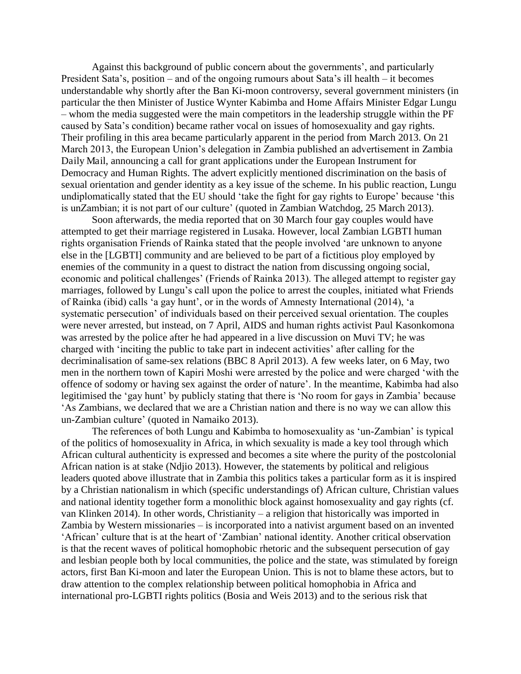Against this background of public concern about the governments', and particularly President Sata's, position – and of the ongoing rumours about Sata's ill health – it becomes understandable why shortly after the Ban Ki-moon controversy, several government ministers (in particular the then Minister of Justice Wynter Kabimba and Home Affairs Minister Edgar Lungu – whom the media suggested were the main competitors in the leadership struggle within the PF caused by Sata's condition) became rather vocal on issues of homosexuality and gay rights. Their profiling in this area became particularly apparent in the period from March 2013. On 21 March 2013, the European Union's delegation in Zambia published an advertisement in Zambia Daily Mail, announcing a call for grant applications under the European Instrument for Democracy and Human Rights. The advert explicitly mentioned discrimination on the basis of sexual orientation and gender identity as a key issue of the scheme. In his public reaction, Lungu undiplomatically stated that the EU should 'take the fight for gay rights to Europe' because 'this is unZambian; it is not part of our culture' (quoted in Zambian Watchdog, 25 March 2013).

Soon afterwards, the media reported that on 30 March four gay couples would have attempted to get their marriage registered in Lusaka. However, local Zambian LGBTI human rights organisation Friends of Rainka stated that the people involved 'are unknown to anyone else in the [LGBTI] community and are believed to be part of a fictitious ploy employed by enemies of the community in a quest to distract the nation from discussing ongoing social, economic and political challenges' (Friends of Rainka 2013). The alleged attempt to register gay marriages, followed by Lungu's call upon the police to arrest the couples, initiated what Friends of Rainka (ibid) calls 'a gay hunt', or in the words of Amnesty International (2014), 'a systematic persecution' of individuals based on their perceived sexual orientation. The couples were never arrested, but instead, on 7 April, AIDS and human rights activist Paul Kasonkomona was arrested by the police after he had appeared in a live discussion on Muvi TV; he was charged with 'inciting the public to take part in indecent activities' after calling for the decriminalisation of same-sex relations (BBC 8 April 2013). A few weeks later, on 6 May, two men in the northern town of Kapiri Moshi were arrested by the police and were charged 'with the offence of sodomy or having sex against the order of nature'. In the meantime, Kabimba had also legitimised the 'gay hunt' by publicly stating that there is 'No room for gays in Zambia' because 'As Zambians, we declared that we are a Christian nation and there is no way we can allow this un-Zambian culture' (quoted in Namaiko 2013).

The references of both Lungu and Kabimba to homosexuality as 'un-Zambian' is typical of the politics of homosexuality in Africa, in which sexuality is made a key tool through which African cultural authenticity is expressed and becomes a site where the purity of the postcolonial African nation is at stake (Ndjio 2013). However, the statements by political and religious leaders quoted above illustrate that in Zambia this politics takes a particular form as it is inspired by a Christian nationalism in which (specific understandings of) African culture, Christian values and national identity together form a monolithic block against homosexuality and gay rights (cf. van Klinken 2014). In other words, Christianity – a religion that historically was imported in Zambia by Western missionaries – is incorporated into a nativist argument based on an invented 'African' culture that is at the heart of 'Zambian' national identity. Another critical observation is that the recent waves of political homophobic rhetoric and the subsequent persecution of gay and lesbian people both by local communities, the police and the state, was stimulated by foreign actors, first Ban Ki-moon and later the European Union. This is not to blame these actors, but to draw attention to the complex relationship between political homophobia in Africa and international pro-LGBTI rights politics (Bosia and Weis 2013) and to the serious risk that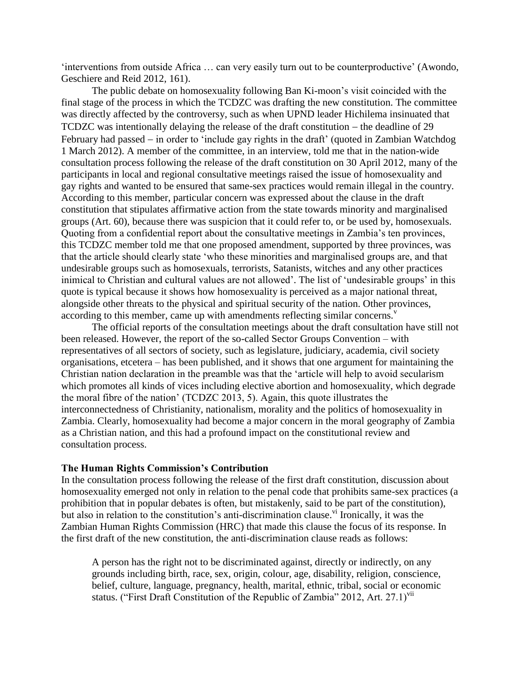'interventions from outside Africa … can very easily turn out to be counterproductive' (Awondo, Geschiere and Reid 2012, 161).

The public debate on homosexuality following Ban Ki-moon's visit coincided with the final stage of the process in which the TCDZC was drafting the new constitution. The committee was directly affected by the controversy, such as when UPND leader Hichilema insinuated that TCDZC was intentionally delaying the release of the draft constitution  $-$  the deadline of 29 February had passed  $-$  in order to 'include gay rights in the draft' (quoted in Zambian Watchdog 1 March 2012). A member of the committee, in an interview, told me that in the nation-wide consultation process following the release of the draft constitution on 30 April 2012, many of the participants in local and regional consultative meetings raised the issue of homosexuality and gay rights and wanted to be ensured that same-sex practices would remain illegal in the country. According to this member, particular concern was expressed about the clause in the draft constitution that stipulates affirmative action from the state towards minority and marginalised groups (Art. 60), because there was suspicion that it could refer to, or be used by, homosexuals. Quoting from a confidential report about the consultative meetings in Zambia's ten provinces, this TCDZC member told me that one proposed amendment, supported by three provinces, was that the article should clearly state 'who these minorities and marginalised groups are, and that undesirable groups such as homosexuals, terrorists, Satanists, witches and any other practices inimical to Christian and cultural values are not allowed'. The list of 'undesirable groups' in this quote is typical because it shows how homosexuality is perceived as a major national threat, alongside other threats to the physical and spiritual security of the nation. Other provinces, according to this member, came up with amendments reflecting similar concerns.<sup> $v$ </sup>

The official reports of the consultation meetings about the draft consultation have still not been released. However, the report of the so-called Sector Groups Convention – with representatives of all sectors of society, such as legislature, judiciary, academia, civil society organisations, etcetera – has been published, and it shows that one argument for maintaining the Christian nation declaration in the preamble was that the 'article will help to avoid secularism which promotes all kinds of vices including elective abortion and homosexuality, which degrade the moral fibre of the nation' (TCDZC 2013, 5). Again, this quote illustrates the interconnectedness of Christianity, nationalism, morality and the politics of homosexuality in Zambia. Clearly, homosexuality had become a major concern in the moral geography of Zambia as a Christian nation, and this had a profound impact on the constitutional review and consultation process.

## **The Human Rights Commission's Contribution**

In the consultation process following the release of the first draft constitution, discussion about homosexuality emerged not only in relation to the penal code that prohibits same-sex practices (a prohibition that in popular debates is often, but mistakenly, said to be part of the constitution), but also in relation to the constitution's anti-discrimination clause.<sup>vi</sup> Ironically, it was the Zambian Human Rights Commission (HRC) that made this clause the focus of its response. In the first draft of the new constitution, the anti-discrimination clause reads as follows:

A person has the right not to be discriminated against, directly or indirectly, on any grounds including birth, race, sex, origin, colour, age, disability, religion, conscience, belief, culture, language, pregnancy, health, marital, ethnic, tribal, social or economic status. ("First Draft Constitution of the Republic of Zambia" 2012, Art. 27.1)<sup>vii</sup>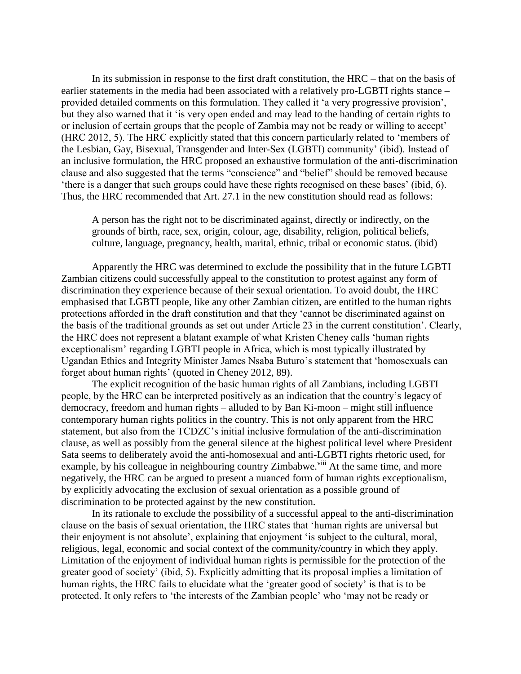In its submission in response to the first draft constitution, the HRC – that on the basis of earlier statements in the media had been associated with a relatively pro-LGBTI rights stance – provided detailed comments on this formulation. They called it 'a very progressive provision', but they also warned that it 'is very open ended and may lead to the handing of certain rights to or inclusion of certain groups that the people of Zambia may not be ready or willing to accept' (HRC 2012, 5). The HRC explicitly stated that this concern particularly related to 'members of the Lesbian, Gay, Bisexual, Transgender and Inter-Sex (LGBTI) community' (ibid). Instead of an inclusive formulation, the HRC proposed an exhaustive formulation of the anti-discrimination clause and also suggested that the terms "conscience" and "belief" should be removed because 'there is a danger that such groups could have these rights recognised on these bases' (ibid, 6). Thus, the HRC recommended that Art. 27.1 in the new constitution should read as follows:

A person has the right not to be discriminated against, directly or indirectly, on the grounds of birth, race, sex, origin, colour, age, disability, religion, political beliefs, culture, language, pregnancy, health, marital, ethnic, tribal or economic status. (ibid)

Apparently the HRC was determined to exclude the possibility that in the future LGBTI Zambian citizens could successfully appeal to the constitution to protest against any form of discrimination they experience because of their sexual orientation. To avoid doubt, the HRC emphasised that LGBTI people, like any other Zambian citizen, are entitled to the human rights protections afforded in the draft constitution and that they 'cannot be discriminated against on the basis of the traditional grounds as set out under Article 23 in the current constitution'. Clearly, the HRC does not represent a blatant example of what Kristen Cheney calls 'human rights exceptionalism' regarding LGBTI people in Africa, which is most typically illustrated by Ugandan Ethics and Integrity Minister James Nsaba Buturo's statement that 'homosexuals can forget about human rights' (quoted in Cheney 2012, 89).

The explicit recognition of the basic human rights of all Zambians, including LGBTI people, by the HRC can be interpreted positively as an indication that the country's legacy of democracy, freedom and human rights – alluded to by Ban Ki-moon – might still influence contemporary human rights politics in the country. This is not only apparent from the HRC statement, but also from the TCDZC's initial inclusive formulation of the anti-discrimination clause, as well as possibly from the general silence at the highest political level where President Sata seems to deliberately avoid the anti-homosexual and anti-LGBTI rights rhetoric used, for example, by his colleague in neighbouring country Zimbabwe.<sup>viii</sup> At the same time, and more negatively, the HRC can be argued to present a nuanced form of human rights exceptionalism, by explicitly advocating the exclusion of sexual orientation as a possible ground of discrimination to be protected against by the new constitution.

In its rationale to exclude the possibility of a successful appeal to the anti-discrimination clause on the basis of sexual orientation, the HRC states that 'human rights are universal but their enjoyment is not absolute', explaining that enjoyment 'is subject to the cultural, moral, religious, legal, economic and social context of the community/country in which they apply. Limitation of the enjoyment of individual human rights is permissible for the protection of the greater good of society' (ibid, 5). Explicitly admitting that its proposal implies a limitation of human rights, the HRC fails to elucidate what the 'greater good of society' is that is to be protected. It only refers to 'the interests of the Zambian people' who 'may not be ready or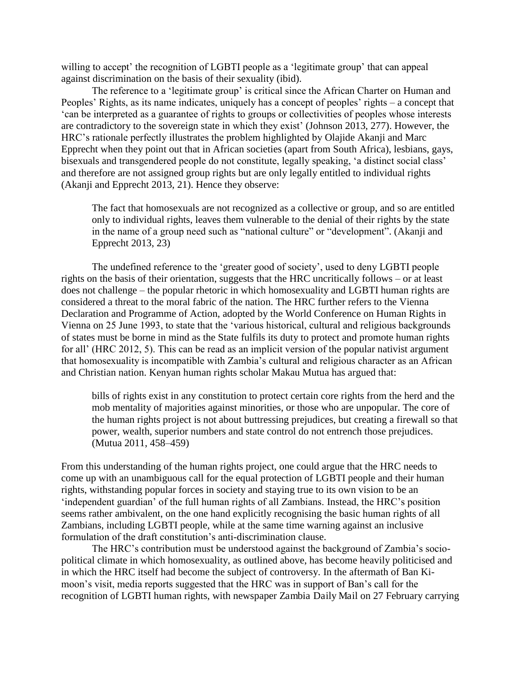willing to accept' the recognition of LGBTI people as a 'legitimate group' that can appeal against discrimination on the basis of their sexuality (ibid).

The reference to a 'legitimate group' is critical since the African Charter on Human and Peoples' Rights, as its name indicates, uniquely has a concept of peoples' rights – a concept that 'can be interpreted as a guarantee of rights to groups or collectivities of peoples whose interests are contradictory to the sovereign state in which they exist' (Johnson 2013, 277). However, the HRC's rationale perfectly illustrates the problem highlighted by Olajide Akanji and Marc Epprecht when they point out that in African societies (apart from South Africa), lesbians, gays, bisexuals and transgendered people do not constitute, legally speaking, 'a distinct social class' and therefore are not assigned group rights but are only legally entitled to individual rights (Akanji and Epprecht 2013, 21). Hence they observe:

The fact that homosexuals are not recognized as a collective or group, and so are entitled only to individual rights, leaves them vulnerable to the denial of their rights by the state in the name of a group need such as "national culture" or "development". (Akanji and Epprecht 2013, 23)

The undefined reference to the 'greater good of society', used to deny LGBTI people rights on the basis of their orientation, suggests that the HRC uncritically follows – or at least does not challenge – the popular rhetoric in which homosexuality and LGBTI human rights are considered a threat to the moral fabric of the nation. The HRC further refers to the Vienna Declaration and Programme of Action, adopted by the World Conference on Human Rights in Vienna on 25 June 1993, to state that the 'various historical, cultural and religious backgrounds of states must be borne in mind as the State fulfils its duty to protect and promote human rights for all' (HRC 2012, 5). This can be read as an implicit version of the popular nativist argument that homosexuality is incompatible with Zambia's cultural and religious character as an African and Christian nation. Kenyan human rights scholar Makau Mutua has argued that:

bills of rights exist in any constitution to protect certain core rights from the herd and the mob mentality of majorities against minorities, or those who are unpopular. The core of the human rights project is not about buttressing prejudices, but creating a firewall so that power, wealth, superior numbers and state control do not entrench those prejudices. (Mutua 2011, 458–459)

From this understanding of the human rights project, one could argue that the HRC needs to come up with an unambiguous call for the equal protection of LGBTI people and their human rights, withstanding popular forces in society and staying true to its own vision to be an 'independent guardian' of the full human rights of all Zambians. Instead, the HRC's position seems rather ambivalent, on the one hand explicitly recognising the basic human rights of all Zambians, including LGBTI people, while at the same time warning against an inclusive formulation of the draft constitution's anti-discrimination clause.

The HRC's contribution must be understood against the background of Zambia's sociopolitical climate in which homosexuality, as outlined above, has become heavily politicised and in which the HRC itself had become the subject of controversy. In the aftermath of Ban Kimoon's visit, media reports suggested that the HRC was in support of Ban's call for the recognition of LGBTI human rights, with newspaper Zambia Daily Mail on 27 February carrying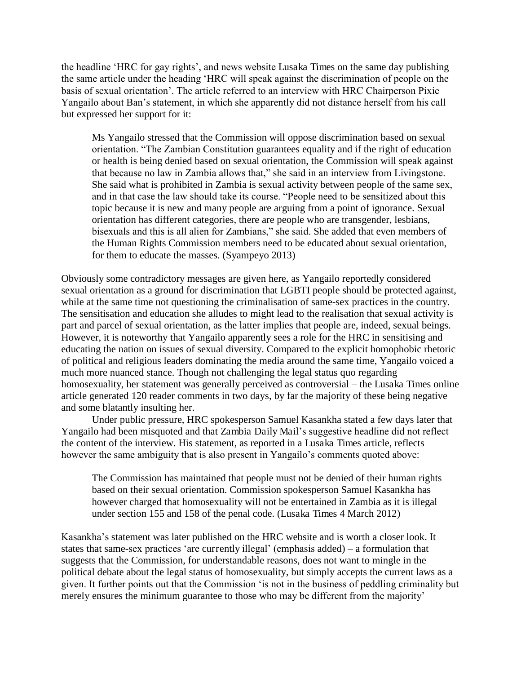the headline 'HRC for gay rights', and news website Lusaka Times on the same day publishing the same article under the heading 'HRC will speak against the discrimination of people on the basis of sexual orientation'. The article referred to an interview with HRC Chairperson Pixie Yangailo about Ban's statement, in which she apparently did not distance herself from his call but expressed her support for it:

Ms Yangailo stressed that the Commission will oppose discrimination based on sexual orientation. "The Zambian Constitution guarantees equality and if the right of education or health is being denied based on sexual orientation, the Commission will speak against that because no law in Zambia allows that," she said in an interview from Livingstone. She said what is prohibited in Zambia is sexual activity between people of the same sex, and in that case the law should take its course. "People need to be sensitized about this topic because it is new and many people are arguing from a point of ignorance. Sexual orientation has different categories, there are people who are transgender, lesbians, bisexuals and this is all alien for Zambians," she said. She added that even members of the Human Rights Commission members need to be educated about sexual orientation, for them to educate the masses. (Syampeyo 2013)

Obviously some contradictory messages are given here, as Yangailo reportedly considered sexual orientation as a ground for discrimination that LGBTI people should be protected against, while at the same time not questioning the criminalisation of same-sex practices in the country. The sensitisation and education she alludes to might lead to the realisation that sexual activity is part and parcel of sexual orientation, as the latter implies that people are, indeed, sexual beings. However, it is noteworthy that Yangailo apparently sees a role for the HRC in sensitising and educating the nation on issues of sexual diversity. Compared to the explicit homophobic rhetoric of political and religious leaders dominating the media around the same time, Yangailo voiced a much more nuanced stance. Though not challenging the legal status quo regarding homosexuality, her statement was generally perceived as controversial – the Lusaka Times online article generated 120 reader comments in two days, by far the majority of these being negative and some blatantly insulting her.

Under public pressure, HRC spokesperson Samuel Kasankha stated a few days later that Yangailo had been misquoted and that Zambia Daily Mail's suggestive headline did not reflect the content of the interview. His statement, as reported in a Lusaka Times article, reflects however the same ambiguity that is also present in Yangailo's comments quoted above:

The Commission has maintained that people must not be denied of their human rights based on their sexual orientation. Commission spokesperson Samuel Kasankha has however charged that homosexuality will not be entertained in Zambia as it is illegal under section 155 and 158 of the penal code. (Lusaka Times 4 March 2012)

Kasankha's statement was later published on the HRC website and is worth a closer look. It states that same-sex practices 'are currently illegal' (emphasis added) – a formulation that suggests that the Commission, for understandable reasons, does not want to mingle in the political debate about the legal status of homosexuality, but simply accepts the current laws as a given. It further points out that the Commission 'is not in the business of peddling criminality but merely ensures the minimum guarantee to those who may be different from the majority'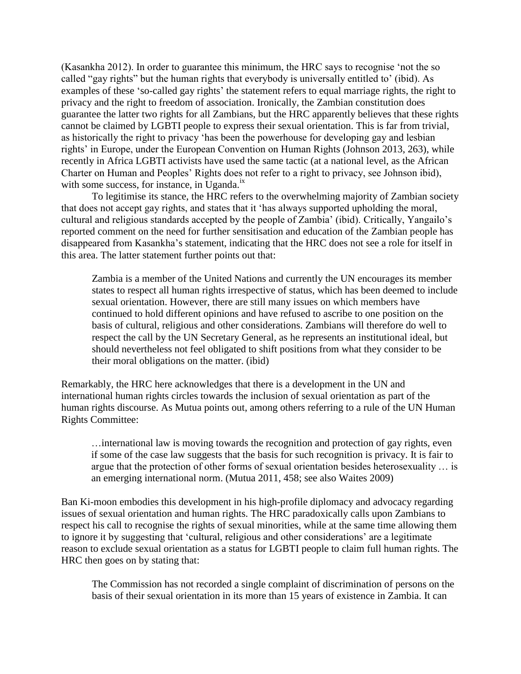(Kasankha 2012). In order to guarantee this minimum, the HRC says to recognise 'not the so called "gay rights" but the human rights that everybody is universally entitled to' (ibid). As examples of these 'so-called gay rights' the statement refers to equal marriage rights, the right to privacy and the right to freedom of association. Ironically, the Zambian constitution does guarantee the latter two rights for all Zambians, but the HRC apparently believes that these rights cannot be claimed by LGBTI people to express their sexual orientation. This is far from trivial, as historically the right to privacy 'has been the powerhouse for developing gay and lesbian rights' in Europe, under the European Convention on Human Rights (Johnson 2013, 263), while recently in Africa LGBTI activists have used the same tactic (at a national level, as the African Charter on Human and Peoples' Rights does not refer to a right to privacy, see Johnson ibid), with some success, for instance, in Uganda.<sup>ix</sup>

 To legitimise its stance, the HRC refers to the overwhelming majority of Zambian society that does not accept gay rights, and states that it 'has always supported upholding the moral, cultural and religious standards accepted by the people of Zambia' (ibid). Critically, Yangailo's reported comment on the need for further sensitisation and education of the Zambian people has disappeared from Kasankha's statement, indicating that the HRC does not see a role for itself in this area. The latter statement further points out that:

Zambia is a member of the United Nations and currently the UN encourages its member states to respect all human rights irrespective of status, which has been deemed to include sexual orientation. However, there are still many issues on which members have continued to hold different opinions and have refused to ascribe to one position on the basis of cultural, religious and other considerations. Zambians will therefore do well to respect the call by the UN Secretary General, as he represents an institutional ideal, but should nevertheless not feel obligated to shift positions from what they consider to be their moral obligations on the matter. (ibid)

Remarkably, the HRC here acknowledges that there is a development in the UN and international human rights circles towards the inclusion of sexual orientation as part of the human rights discourse. As Mutua points out, among others referring to a rule of the UN Human Rights Committee:

…international law is moving towards the recognition and protection of gay rights, even if some of the case law suggests that the basis for such recognition is privacy. It is fair to argue that the protection of other forms of sexual orientation besides heterosexuality … is an emerging international norm. (Mutua 2011, 458; see also Waites 2009)

Ban Ki-moon embodies this development in his high-profile diplomacy and advocacy regarding issues of sexual orientation and human rights. The HRC paradoxically calls upon Zambians to respect his call to recognise the rights of sexual minorities, while at the same time allowing them to ignore it by suggesting that 'cultural, religious and other considerations' are a legitimate reason to exclude sexual orientation as a status for LGBTI people to claim full human rights. The HRC then goes on by stating that:

The Commission has not recorded a single complaint of discrimination of persons on the basis of their sexual orientation in its more than 15 years of existence in Zambia. It can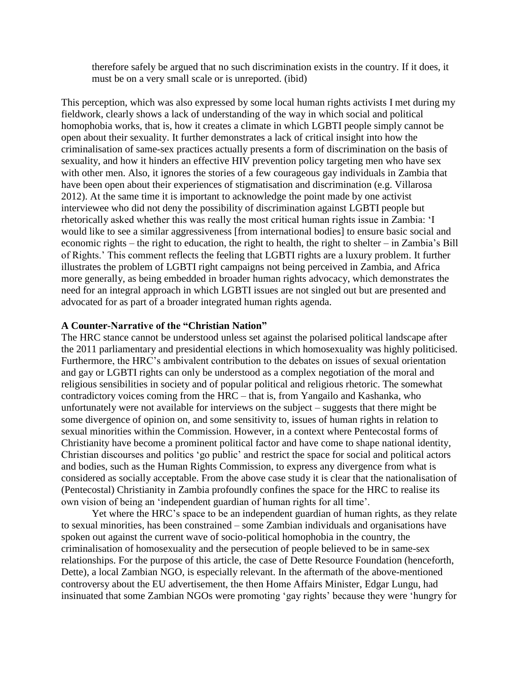therefore safely be argued that no such discrimination exists in the country. If it does, it must be on a very small scale or is unreported. (ibid)

This perception, which was also expressed by some local human rights activists I met during my fieldwork, clearly shows a lack of understanding of the way in which social and political homophobia works, that is, how it creates a climate in which LGBTI people simply cannot be open about their sexuality. It further demonstrates a lack of critical insight into how the criminalisation of same-sex practices actually presents a form of discrimination on the basis of sexuality, and how it hinders an effective HIV prevention policy targeting men who have sex with other men. Also, it ignores the stories of a few courageous gay individuals in Zambia that have been open about their experiences of stigmatisation and discrimination (e.g. Villarosa 2012). At the same time it is important to acknowledge the point made by one activist interviewee who did not deny the possibility of discrimination against LGBTI people but rhetorically asked whether this was really the most critical human rights issue in Zambia: 'I would like to see a similar aggressiveness [from international bodies] to ensure basic social and economic rights – the right to education, the right to health, the right to shelter – in Zambia's Bill of Rights.' This comment reflects the feeling that LGBTI rights are a luxury problem. It further illustrates the problem of LGBTI right campaigns not being perceived in Zambia, and Africa more generally, as being embedded in broader human rights advocacy, which demonstrates the need for an integral approach in which LGBTI issues are not singled out but are presented and advocated for as part of a broader integrated human rights agenda.

# **A Counter-Narrative of the "Christian Nation"**

The HRC stance cannot be understood unless set against the polarised political landscape after the 2011 parliamentary and presidential elections in which homosexuality was highly politicised. Furthermore, the HRC's ambivalent contribution to the debates on issues of sexual orientation and gay or LGBTI rights can only be understood as a complex negotiation of the moral and religious sensibilities in society and of popular political and religious rhetoric. The somewhat contradictory voices coming from the HRC – that is, from Yangailo and Kashanka, who unfortunately were not available for interviews on the subject – suggests that there might be some divergence of opinion on, and some sensitivity to, issues of human rights in relation to sexual minorities within the Commission. However, in a context where Pentecostal forms of Christianity have become a prominent political factor and have come to shape national identity, Christian discourses and politics 'go public' and restrict the space for social and political actors and bodies, such as the Human Rights Commission, to express any divergence from what is considered as socially acceptable. From the above case study it is clear that the nationalisation of (Pentecostal) Christianity in Zambia profoundly confines the space for the HRC to realise its own vision of being an 'independent guardian of human rights for all time'.

 Yet where the HRC's space to be an independent guardian of human rights, as they relate to sexual minorities, has been constrained – some Zambian individuals and organisations have spoken out against the current wave of socio-political homophobia in the country, the criminalisation of homosexuality and the persecution of people believed to be in same-sex relationships. For the purpose of this article, the case of Dette Resource Foundation (henceforth, Dette), a local Zambian NGO, is especially relevant. In the aftermath of the above-mentioned controversy about the EU advertisement, the then Home Affairs Minister, Edgar Lungu, had insinuated that some Zambian NGOs were promoting 'gay rights' because they were 'hungry for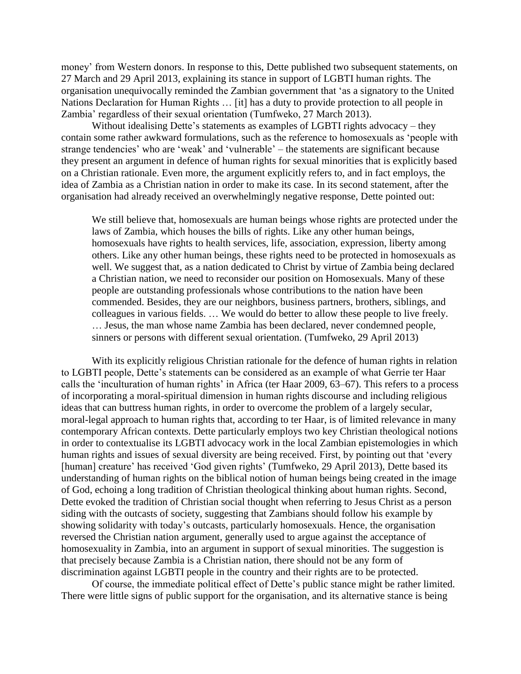money' from Western donors. In response to this, Dette published two subsequent statements, on 27 March and 29 April 2013, explaining its stance in support of LGBTI human rights. The organisation unequivocally reminded the Zambian government that 'as a signatory to the United Nations Declaration for Human Rights … [it] has a duty to provide protection to all people in Zambia' regardless of their sexual orientation (Tumfweko, 27 March 2013).

Without idealising Dette's statements as examples of LGBTI rights advocacy – they contain some rather awkward formulations, such as the reference to homosexuals as 'people with strange tendencies' who are 'weak' and 'vulnerable' – the statements are significant because they present an argument in defence of human rights for sexual minorities that is explicitly based on a Christian rationale. Even more, the argument explicitly refers to, and in fact employs, the idea of Zambia as a Christian nation in order to make its case. In its second statement, after the organisation had already received an overwhelmingly negative response, Dette pointed out:

We still believe that, homosexuals are human beings whose rights are protected under the laws of Zambia, which houses the bills of rights. Like any other human beings, homosexuals have rights to health services, life, association, expression, liberty among others. Like any other human beings, these rights need to be protected in homosexuals as well. We suggest that, as a nation dedicated to Christ by virtue of Zambia being declared a Christian nation, we need to reconsider our position on Homosexuals. Many of these people are outstanding professionals whose contributions to the nation have been commended. Besides, they are our neighbors, business partners, brothers, siblings, and colleagues in various fields. … We would do better to allow these people to live freely. … Jesus, the man whose name Zambia has been declared, never condemned people, sinners or persons with different sexual orientation. (Tumfweko, 29 April 2013)

With its explicitly religious Christian rationale for the defence of human rights in relation to LGBTI people, Dette's statements can be considered as an example of what Gerrie ter Haar calls the 'inculturation of human rights' in Africa (ter Haar 2009, 63–67). This refers to a process of incorporating a moral-spiritual dimension in human rights discourse and including religious ideas that can buttress human rights, in order to overcome the problem of a largely secular, moral-legal approach to human rights that, according to ter Haar, is of limited relevance in many contemporary African contexts. Dette particularly employs two key Christian theological notions in order to contextualise its LGBTI advocacy work in the local Zambian epistemologies in which human rights and issues of sexual diversity are being received. First, by pointing out that 'every [human] creature' has received 'God given rights' (Tumfweko, 29 April 2013), Dette based its understanding of human rights on the biblical notion of human beings being created in the image of God, echoing a long tradition of Christian theological thinking about human rights. Second, Dette evoked the tradition of Christian social thought when referring to Jesus Christ as a person siding with the outcasts of society, suggesting that Zambians should follow his example by showing solidarity with today's outcasts, particularly homosexuals. Hence, the organisation reversed the Christian nation argument, generally used to argue against the acceptance of homosexuality in Zambia, into an argument in support of sexual minorities. The suggestion is that precisely because Zambia is a Christian nation, there should not be any form of discrimination against LGBTI people in the country and their rights are to be protected.

Of course, the immediate political effect of Dette's public stance might be rather limited. There were little signs of public support for the organisation, and its alternative stance is being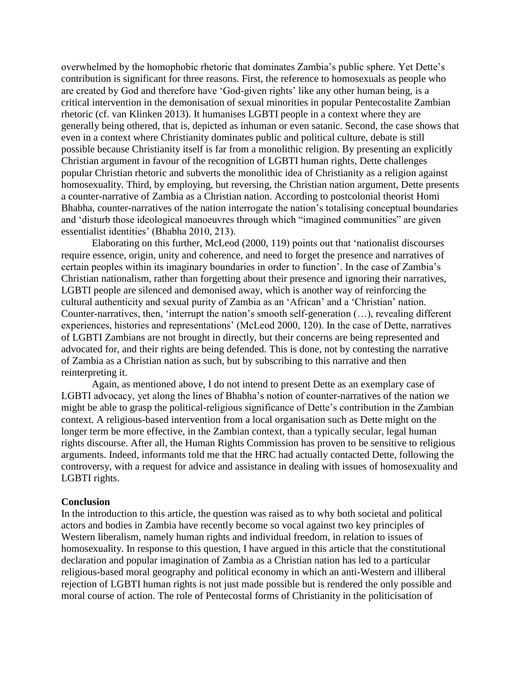overwhelmed by the homophobic rhetoric that dominates Zambia's public sphere. Yet Dette's contribution is significant for three reasons. First, the reference to homosexuals as people who are created by God and therefore have 'God-given rights' like any other human being, is a critical intervention in the demonisation of sexual minorities in popular Pentecostalite Zambian rhetoric (cf. van Klinken 2013). It humanises LGBTI people in a context where they are generally being othered, that is, depicted as inhuman or even satanic. Second, the case shows that even in a context where Christianity dominates public and political culture, debate is still possible because Christianity itself is far from a monolithic religion. By presenting an explicitly Christian argument in favour of the recognition of LGBTI human rights, Dette challenges popular Christian rhetoric and subverts the monolithic idea of Christianity as a religion against homosexuality. Third, by employing, but reversing, the Christian nation argument, Dette presents a counter-narrative of Zambia as a Christian nation. According to postcolonial theorist Homi Bhabha, counter-narratives of the nation interrogate the nation's totalising conceptual boundaries and 'disturb those ideological manoeuvres through which "imagined communities" are given essentialist identities' (Bhabha 2010, 213).

Elaborating on this further, McLeod (2000, 119) points out that 'nationalist discourses require essence, origin, unity and coherence, and need to forget the presence and narratives of certain peoples within its imaginary boundaries in order to function'. In the case of Zambia's Christian nationalism, rather than forgetting about their presence and ignoring their narratives, LGBTI people are silenced and demonised away, which is another way of reinforcing the cultural authenticity and sexual purity of Zambia as an 'African' and a 'Christian' nation. Counter-narratives, then, 'interrupt the nation's smooth self-generation (…), revealing different experiences, histories and representations' (McLeod 2000, 120). In the case of Dette, narratives of LGBTI Zambians are not brought in directly, but their concerns are being represented and advocated for, and their rights are being defended. This is done, not by contesting the narrative of Zambia as a Christian nation as such, but by subscribing to this narrative and then reinterpreting it.

Again, as mentioned above, I do not intend to present Dette as an exemplary case of LGBTI advocacy, yet along the lines of Bhabha's notion of counter-narratives of the nation we might be able to grasp the political-religious significance of Dette's contribution in the Zambian context. A religious-based intervention from a local organisation such as Dette might on the longer term be more effective, in the Zambian context, than a typically secular, legal human rights discourse. After all, the Human Rights Commission has proven to be sensitive to religious arguments. Indeed, informants told me that the HRC had actually contacted Dette, following the controversy, with a request for advice and assistance in dealing with issues of homosexuality and LGBTI rights.

#### **Conclusion**

In the introduction to this article, the question was raised as to why both societal and political actors and bodies in Zambia have recently become so vocal against two key principles of Western liberalism, namely human rights and individual freedom, in relation to issues of homosexuality. In response to this question, I have argued in this article that the constitutional declaration and popular imagination of Zambia as a Christian nation has led to a particular religious-based moral geography and political economy in which an anti-Western and illiberal rejection of LGBTI human rights is not just made possible but is rendered the only possible and moral course of action. The role of Pentecostal forms of Christianity in the politicisation of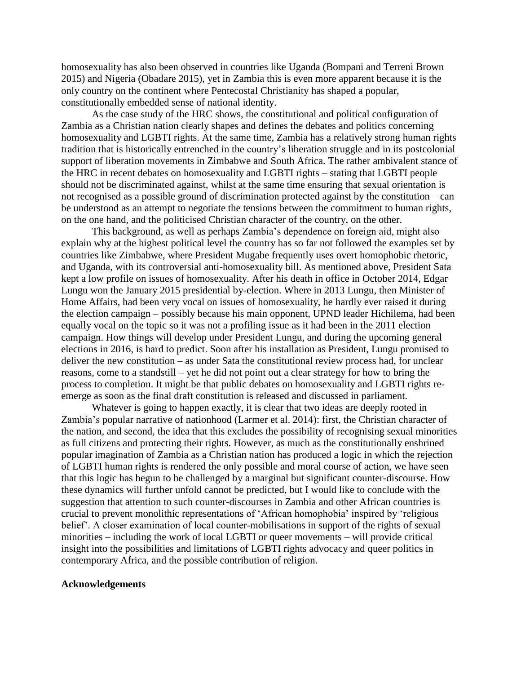homosexuality has also been observed in countries like Uganda (Bompani and Terreni Brown 2015) and Nigeria (Obadare 2015), yet in Zambia this is even more apparent because it is the only country on the continent where Pentecostal Christianity has shaped a popular, constitutionally embedded sense of national identity.

As the case study of the HRC shows, the constitutional and political configuration of Zambia as a Christian nation clearly shapes and defines the debates and politics concerning homosexuality and LGBTI rights. At the same time, Zambia has a relatively strong human rights tradition that is historically entrenched in the country's liberation struggle and in its postcolonial support of liberation movements in Zimbabwe and South Africa. The rather ambivalent stance of the HRC in recent debates on homosexuality and LGBTI rights – stating that LGBTI people should not be discriminated against, whilst at the same time ensuring that sexual orientation is not recognised as a possible ground of discrimination protected against by the constitution – can be understood as an attempt to negotiate the tensions between the commitment to human rights, on the one hand, and the politicised Christian character of the country, on the other.

This background, as well as perhaps Zambia's dependence on foreign aid, might also explain why at the highest political level the country has so far not followed the examples set by countries like Zimbabwe, where President Mugabe frequently uses overt homophobic rhetoric, and Uganda, with its controversial anti-homosexuality bill. As mentioned above, President Sata kept a low profile on issues of homosexuality. After his death in office in October 2014, Edgar Lungu won the January 2015 presidential by-election. Where in 2013 Lungu, then Minister of Home Affairs, had been very vocal on issues of homosexuality, he hardly ever raised it during the election campaign – possibly because his main opponent, UPND leader Hichilema, had been equally vocal on the topic so it was not a profiling issue as it had been in the 2011 election campaign. How things will develop under President Lungu, and during the upcoming general elections in 2016, is hard to predict. Soon after his installation as President, Lungu promised to deliver the new constitution – as under Sata the constitutional review process had, for unclear reasons, come to a standstill – yet he did not point out a clear strategy for how to bring the process to completion. It might be that public debates on homosexuality and LGBTI rights reemerge as soon as the final draft constitution is released and discussed in parliament.

 Whatever is going to happen exactly, it is clear that two ideas are deeply rooted in Zambia's popular narrative of nationhood (Larmer et al. 2014): first, the Christian character of the nation, and second, the idea that this excludes the possibility of recognising sexual minorities as full citizens and protecting their rights. However, as much as the constitutionally enshrined popular imagination of Zambia as a Christian nation has produced a logic in which the rejection of LGBTI human rights is rendered the only possible and moral course of action, we have seen that this logic has begun to be challenged by a marginal but significant counter-discourse. How these dynamics will further unfold cannot be predicted, but I would like to conclude with the suggestion that attention to such counter-discourses in Zambia and other African countries is crucial to prevent monolithic representations of 'African homophobia' inspired by 'religious belief'. A closer examination of local counter-mobilisations in support of the rights of sexual minorities – including the work of local LGBTI or queer movements – will provide critical insight into the possibilities and limitations of LGBTI rights advocacy and queer politics in contemporary Africa, and the possible contribution of religion.

#### **Acknowledgements**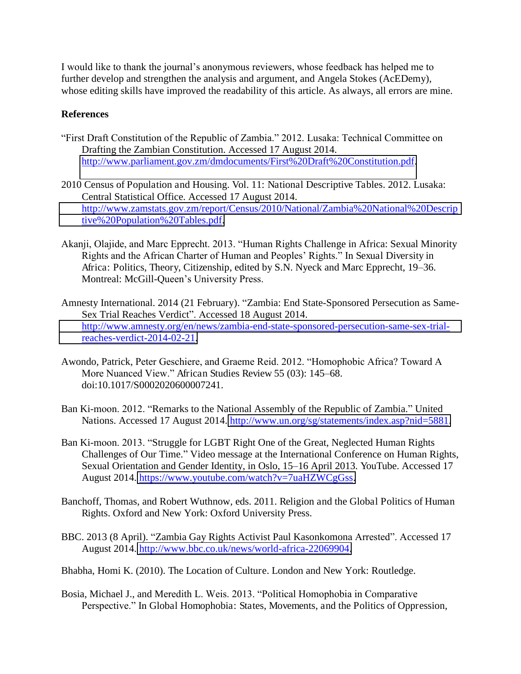I would like to thank the journal's anonymous reviewers, whose feedback has helped me to further develop and strengthen the analysis and argument, and Angela Stokes (AcEDemy), whose editing skills have improved the readability of this article. As always, all errors are mine.

# **References**

- "First Draft Constitution of the Republic of Zambia." 2012. Lusaka: Technical Committee on Drafting the Zambian Constitution. Accessed 17 August 2014. [http://www.parliament.gov.zm/dmdocuments/First%20Draft%20Constitution.pdf.](http://www.parliament.gov.zm/dmdocuments/First%20Draft%20Constitution.pdf)
- 2010 Census of Population and Housing. Vol. 11: National Descriptive Tables. 2012. Lusaka: Central Statistical Office. Accessed 17 August 2014. [http://www.zamstats.gov.zm/report/Census/2010/National/Zambia%20National%20Descrip](http://www.zamstats.gov.zm/report/Census/2010/National/Zambia%20National%20Descriptive%20Population%20Tables.pdf) [tive%20Population%20Tables.pdf.](http://www.zamstats.gov.zm/report/Census/2010/National/Zambia%20National%20Descriptive%20Population%20Tables.pdf)
- Akanji, Olajide, and Marc Epprecht. 2013. "Human Rights Challenge in Africa: Sexual Minority Rights and the African Charter of Human and Peoples' Rights." In Sexual Diversity in Africa: Politics, Theory, Citizenship, edited by S.N. Nyeck and Marc Epprecht, 19–36. Montreal: McGill-Queen's University Press.
- Amnesty International. 2014 (21 February). "Zambia: End State-Sponsored Persecution as Same-Sex Trial Reaches Verdict". Accessed 18 August 2014. [http://www.amnesty.org/en/news/zambia-end-state-sponsored-persecution-same-sex-trial](http://www.amnesty.org/en/news/zambia-end-state-sponsored-persecution-same-sex-trial-reaches-verdict-2014-02-21)[reaches-verdict-2014-02-21.](http://www.amnesty.org/en/news/zambia-end-state-sponsored-persecution-same-sex-trial-reaches-verdict-2014-02-21)
- Awondo, Patrick, Peter Geschiere, and Graeme Reid. 2012. "Homophobic Africa? Toward A More Nuanced View." African Studies Review 55 (03): 145–68. doi:10.1017/S0002020600007241.
- Ban Ki-moon. 2012. "Remarks to the National Assembly of the Republic of Zambia." United Nations. Accessed 17 August 2014. [http://www.un.org/sg/statements/index.asp?nid=5881.](http://www.un.org/sg/statements/index.asp?nid=5881)
- Ban Ki-moon. 2013. "Struggle for LGBT Right One of the Great, Neglected Human Rights Challenges of Our Time." Video message at the International Conference on Human Rights, Sexual Orientation and Gender Identity, in Oslo, 15–16 April 2013. YouTube. Accessed 17 August 2014. [https://www.youtube.com/watch?v=7uaHZWCgGss.](https://www.youtube.com/watch?v=7uaHZWCgGss)
- Banchoff, Thomas, and Robert Wuthnow, eds. 2011. Religion and the Global Politics of Human Rights. Oxford and New York: Oxford University Press.
- BBC. 2013 (8 April). "Zambia Gay Rights Activist Paul Kasonkomona Arrested". Accessed 17 August 2014. [http://www.bbc.co.uk/news/world-africa-22069904.](http://www.bbc.co.uk/news/world-africa-22069904)
- Bhabha, Homi K. (2010). The Location of Culture. London and New York: Routledge.
- Bosia, Michael J., and Meredith L. Weis. 2013. "Political Homophobia in Comparative Perspective." In Global Homophobia: States, Movements, and the Politics of Oppression,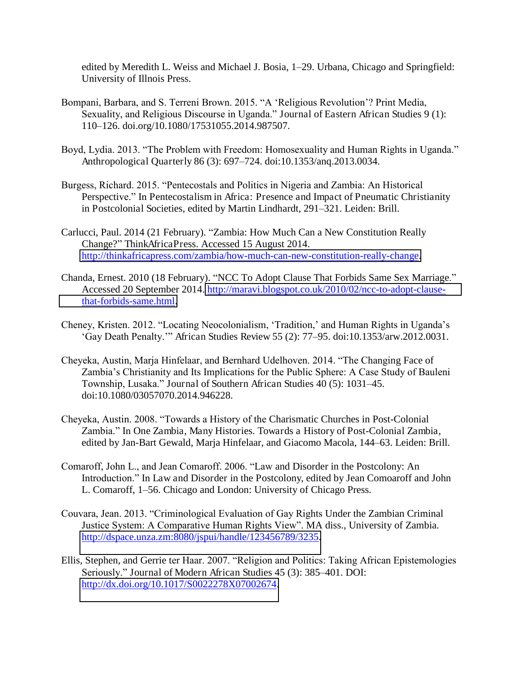edited by Meredith L. Weiss and Michael J. Bosia, 1–29. Urbana, Chicago and Springfield: University of Illnois Press.

- Bompani, Barbara, and S. Terreni Brown. 2015. "A 'Religious Revolution'? Print Media, Sexuality, and Religious Discourse in Uganda." Journal of Eastern African Studies 9 (1): 110–126. doi.org/10.1080/17531055.2014.987507.
- Boyd, Lydia. 2013. "The Problem with Freedom: Homosexuality and Human Rights in Uganda." Anthropological Quarterly 86 (3): 697–724. doi:10.1353/anq.2013.0034.
- Burgess, Richard. 2015. "Pentecostals and Politics in Nigeria and Zambia: An Historical Perspective." In Pentecostalism in Africa: Presence and Impact of Pneumatic Christianity in Postcolonial Societies, edited by Martin Lindhardt, 291–321. Leiden: Brill.
- Carlucci, Paul. 2014 (21 February). "Zambia: How Much Can a New Constitution Really Change?" ThinkAfricaPress. Accessed 15 August 2014. [http://thinkafricapress.com/zambia/how-much-can-new-constitution-really-change.](http://thinkafricapress.com/zambia/how-much-can-new-constitution-really-change)
- Chanda, Ernest. 2010 (18 February). "NCC To Adopt Clause That Forbids Same Sex Marriage." Accessed 20 September 2014. [http://maravi.blogspot.co.uk/2010/02/ncc-to-adopt-clause](http://maravi.blogspot.co.uk/2010/02/ncc-to-adopt-clause-that-forbids-same.html)[that-forbids-same.html.](http://maravi.blogspot.co.uk/2010/02/ncc-to-adopt-clause-that-forbids-same.html)
- Cheney, Kristen. 2012. "Locating Neocolonialism, 'Tradition,' and Human Rights in Uganda's 'Gay Death Penalty.'" African Studies Review 55 (2): 77–95. doi:10.1353/arw.2012.0031.
- Cheyeka, Austin, Marja Hinfelaar, and Bernhard Udelhoven. 2014. "The Changing Face of Zambia's Christianity and Its Implications for the Public Sphere: A Case Study of Bauleni Township, Lusaka." Journal of Southern African Studies 40 (5): 1031–45. doi:10.1080/03057070.2014.946228.
- Cheyeka, Austin. 2008. "Towards a History of the Charismatic Churches in Post-Colonial Zambia." In One Zambia, Many Histories. Towards a History of Post-Colonial Zambia, edited by Jan-Bart Gewald, Marja Hinfelaar, and Giacomo Macola, 144–63. Leiden: Brill.
- Comaroff, John L., and Jean Comaroff. 2006. "Law and Disorder in the Postcolony: An Introduction." In Law and Disorder in the Postcolony, edited by Jean Comoaroff and John L. Comaroff, 1–56. Chicago and London: University of Chicago Press.
- Couvara, Jean. 2013. "Criminological Evaluation of Gay Rights Under the Zambian Criminal Justice System: A Comparative Human Rights View". MA diss., University of Zambia. [http://dspace.unza.zm:8080/jspui/handle/123456789/3235.](http://dspace.unza.zm:8080/jspui/handle/123456789/3235)
- Ellis, Stephen, and Gerrie ter Haar. 2007. "Religion and Politics: Taking African Epistemologies Seriously." Journal of Modern African Studies 45 (3): 385–401. DOI: [http://dx.doi.org/10.1017/S0022278X07002674.](http://dx.doi.org/10.1017/S0022278X07002674)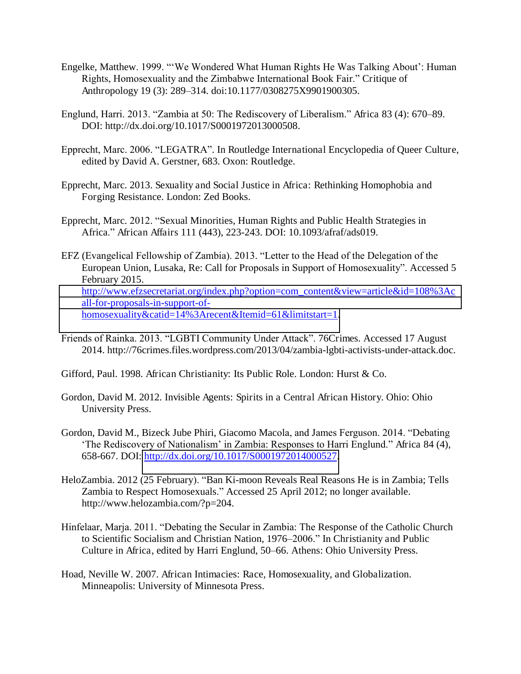- Engelke, Matthew. 1999. "'We Wondered What Human Rights He Was Talking About': Human Rights, Homosexuality and the Zimbabwe International Book Fair." Critique of Anthropology 19 (3): 289–314. doi:10.1177/0308275X9901900305.
- Englund, Harri. 2013. "Zambia at 50: The Rediscovery of Liberalism." Africa 83 (4): 670–89. DOI: http://dx.doi.org/10.1017/S0001972013000508.
- Epprecht, Marc. 2006. "LEGATRA". In Routledge International Encyclopedia of Queer Culture, edited by David A. Gerstner, 683. Oxon: Routledge.
- Epprecht, Marc. 2013. Sexuality and Social Justice in Africa: Rethinking Homophobia and Forging Resistance. London: Zed Books.
- Epprecht, Marc. 2012. "Sexual Minorities, Human Rights and Public Health Strategies in Africa." African Affairs 111 (443), 223-243. DOI: 10.1093/afraf/ads019.
- EFZ (Evangelical Fellowship of Zambia). 2013. "Letter to the Head of the Delegation of the European Union, Lusaka, Re: Call for Proposals in Support of Homosexuality". Accessed 5 February 2015. [http://www.efzsecretariat.org/index.php?option=com\\_content&view=article&id=108%3Ac](http://www.efzsecretariat.org/index.php?option=com_content&view=article&id=108%3Acall-for-proposals-in-support-of-homosexuality&catid=14%3Arecent&Itemid=61&limitstart=1) [all-for-proposals-in-support-of](http://www.efzsecretariat.org/index.php?option=com_content&view=article&id=108%3Acall-for-proposals-in-support-of-homosexuality&catid=14%3Arecent&Itemid=61&limitstart=1)[homosexuality&catid=14%3Arecent&Itemid=61&limitstart=1.](http://www.efzsecretariat.org/index.php?option=com_content&view=article&id=108%3Acall-for-proposals-in-support-of-homosexuality&catid=14%3Arecent&Itemid=61&limitstart=1)
- Friends of Rainka. 2013. "LGBTI Community Under Attack". 76Crimes. Accessed 17 August 2014. http://76crimes.files.wordpress.com/2013/04/zambia-lgbti-activists-under-attack.doc.
- Gifford, Paul. 1998. African Christianity: Its Public Role. London: Hurst & Co.
- Gordon, David M. 2012. Invisible Agents: Spirits in a Central African History. Ohio: Ohio University Press.
- Gordon, David M., Bizeck Jube Phiri, Giacomo Macola, and James Ferguson. 2014. "Debating 'The Rediscovery of Nationalism' in Zambia: Responses to Harri Englund." Africa 84 (4), 658-667. DOI: [http://dx.doi.org/10.1017/S0001972014000527.](http://dx.doi.org/10.1017/S0001972014000527)
- HeloZambia. 2012 (25 February). "Ban Ki-moon Reveals Real Reasons He is in Zambia; Tells Zambia to Respect Homosexuals." Accessed 25 April 2012; no longer available. http://www.helozambia.com/?p=204.
- Hinfelaar, Marja. 2011. "Debating the Secular in Zambia: The Response of the Catholic Church to Scientific Socialism and Christian Nation, 1976–2006." In Christianity and Public Culture in Africa, edited by Harri Englund, 50–66. Athens: Ohio University Press.
- Hoad, Neville W. 2007. African Intimacies: Race, Homosexuality, and Globalization. Minneapolis: University of Minnesota Press.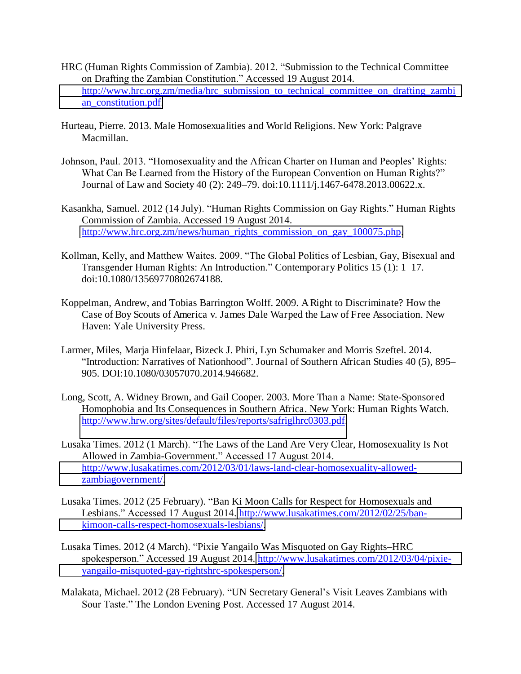- HRC (Human Rights Commission of Zambia). 2012. "Submission to the Technical Committee on Drafting the Zambian Constitution." Accessed 19 August 2014. [http://www.hrc.org.zm/media/hrc\\_submission\\_to\\_technical\\_committee\\_on\\_drafting\\_zambi](http://www.hrc.org.zm/media/hrc_submission_to_technical_committee_on_drafting_zambian_constitution.pdf) [an\\_constitution.pdf.](http://www.hrc.org.zm/media/hrc_submission_to_technical_committee_on_drafting_zambian_constitution.pdf)
- Hurteau, Pierre. 2013. Male Homosexualities and World Religions. New York: Palgrave Macmillan.
- Johnson, Paul. 2013. "Homosexuality and the African Charter on Human and Peoples' Rights: What Can Be Learned from the History of the European Convention on Human Rights?" Journal of Law and Society 40 (2): 249–79. doi:10.1111/j.1467-6478.2013.00622.x.
- Kasankha, Samuel. 2012 (14 July). "Human Rights Commission on Gay Rights." Human Rights Commission of Zambia. Accessed 19 August 2014. [http://www.hrc.org.zm/news/human\\_rights\\_commission\\_on\\_gay\\_100075.php.](http://www.hrc.org.zm/news/human_rights_commission_on_gay_100075.php)
- Kollman, Kelly, and Matthew Waites. 2009. "The Global Politics of Lesbian, Gay, Bisexual and Transgender Human Rights: An Introduction." Contemporary Politics 15 (1): 1–17. doi:10.1080/13569770802674188.
- Koppelman, Andrew, and Tobias Barrington Wolff. 2009. A Right to Discriminate? How the Case of Boy Scouts of America v. James Dale Warped the Law of Free Association. New Haven: Yale University Press.
- Larmer, Miles, Marja Hinfelaar, Bizeck J. Phiri, Lyn Schumaker and Morris Szeftel. 2014. "Introduction: Narratives of Nationhood". Journal of Southern African Studies 40 (5), 895– 905. DOI:10.1080/03057070.2014.946682.
- Long, Scott, A. Widney Brown, and Gail Cooper. 2003. More Than a Name: State-Sponsored Homophobia and Its Consequences in Southern Africa. New York: Human Rights Watch. [http://www.hrw.org/sites/default/files/reports/safriglhrc0303.pdf.](http://www.hrw.org/sites/default/files/reports/safriglhrc0303.pdf)
- Lusaka Times. 2012 (1 March). "The Laws of the Land Are Very Clear, Homosexuality Is Not Allowed in Zambia-Government." Accessed 17 August 2014. [http://www.lusakatimes.com/2012/03/01/laws-land-clear-homosexuality-allowed](http://www.lusakatimes.com/2012/03/01/laws-land-clear-homosexuality-allowed-zambiagovernment/)[zambiagovernment/.](http://www.lusakatimes.com/2012/03/01/laws-land-clear-homosexuality-allowed-zambiagovernment/)
- Lusaka Times. 2012 (25 February). "Ban Ki Moon Calls for Respect for Homosexuals and Lesbians." Accessed 17 August 2014. [http://www.lusakatimes.com/2012/02/25/ban](http://www.lusakatimes.com/2012/02/25/ban-kimoon-calls-respect-homosexuals-lesbians/)[kimoon-calls-respect-homosexuals-lesbians/.](http://www.lusakatimes.com/2012/02/25/ban-kimoon-calls-respect-homosexuals-lesbians/)
- Lusaka Times. 2012 (4 March). "Pixie Yangailo Was Misquoted on Gay Rights–HRC spokesperson." Accessed 19 August 2014. [http://www.lusakatimes.com/2012/03/04/pixie](http://www.lusakatimes.com/2012/03/04/pixie-yangailo-misquoted-gay-rightshrc-spokesperson/)[yangailo-misquoted-gay-rightshrc-spokesperson/.](http://www.lusakatimes.com/2012/03/04/pixie-yangailo-misquoted-gay-rightshrc-spokesperson/)
- Malakata, Michael. 2012 (28 February). "UN Secretary General's Visit Leaves Zambians with Sour Taste." The London Evening Post. Accessed 17 August 2014.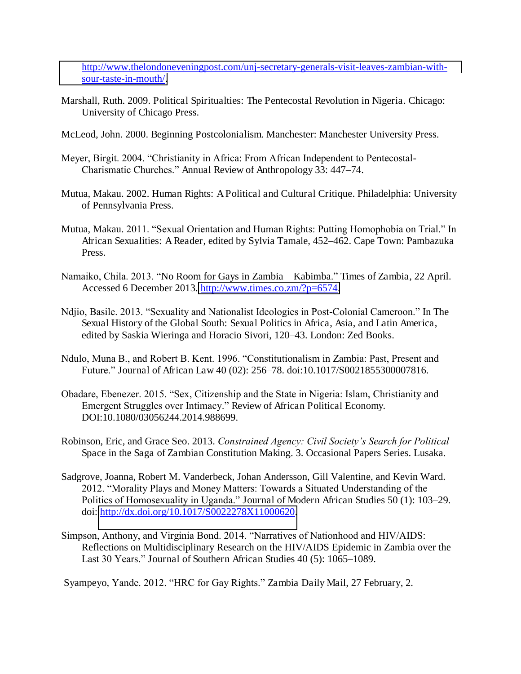[http://www.thelondoneveningpost.com/unj-secretary-generals-visit-leaves-zambian-with](http://www.thelondoneveningpost.com/unj-secretary-generals-visit-leaves-zambian-with-sour-taste-in-mouth/)[sour-taste-in-mouth/.](http://www.thelondoneveningpost.com/unj-secretary-generals-visit-leaves-zambian-with-sour-taste-in-mouth/)

- Marshall, Ruth. 2009. Political Spiritualties: The Pentecostal Revolution in Nigeria. Chicago: University of Chicago Press.
- McLeod, John. 2000. Beginning Postcolonialism. Manchester: Manchester University Press.
- Meyer, Birgit. 2004. "Christianity in Africa: From African Independent to Pentecostal-Charismatic Churches." Annual Review of Anthropology 33: 447–74.
- Mutua, Makau. 2002. Human Rights: A Political and Cultural Critique. Philadelphia: University of Pennsylvania Press.
- Mutua, Makau. 2011. "Sexual Orientation and Human Rights: Putting Homophobia on Trial." In African Sexualities: A Reader, edited by Sylvia Tamale, 452–462. Cape Town: Pambazuka Press.
- Namaiko, Chila. 2013. "No Room for Gays in Zambia Kabimba." Times of Zambia, 22 April. Accessed 6 December 2013. [http://www.times.co.zm/?p=6574.](http://www.times.co.zm/?p=6574)
- Ndjio, Basile. 2013. "Sexuality and Nationalist Ideologies in Post-Colonial Cameroon." In The Sexual History of the Global South: Sexual Politics in Africa, Asia, and Latin America, edited by Saskia Wieringa and Horacio Sivori, 120–43. London: Zed Books.
- Ndulo, Muna B., and Robert B. Kent. 1996. "Constitutionalism in Zambia: Past, Present and Future." Journal of African Law 40 (02): 256–78. doi:10.1017/S0021855300007816.
- Obadare, Ebenezer. 2015. "Sex, Citizenship and the State in Nigeria: Islam, Christianity and Emergent Struggles over Intimacy." Review of African Political Economy. DOI:10.1080/03056244.2014.988699.
- Robinson, Eric, and Grace Seo. 2013. *Constrained Agency: Civil Society's Search for Political*  Space in the Saga of Zambian Constitution Making. 3. Occasional Papers Series. Lusaka.
- Sadgrove, Joanna, Robert M. Vanderbeck, Johan Andersson, Gill Valentine, and Kevin Ward. 2012. "Morality Plays and Money Matters: Towards a Situated Understanding of the Politics of Homosexuality in Uganda." Journal of Modern African Studies 50 (1): 103–29. doi: [http://dx.doi.org/10.1017/S0022278X11000620.](http://dx.doi.org/10.1017/S0022278X11000620)
- Simpson, Anthony, and Virginia Bond. 2014. "Narratives of Nationhood and HIV/AIDS: Reflections on Multidisciplinary Research on the HIV/AIDS Epidemic in Zambia over the Last 30 Years." Journal of Southern African Studies 40 (5): 1065–1089.

Syampeyo, Yande. 2012. "HRC for Gay Rights." Zambia Daily Mail, 27 February, 2.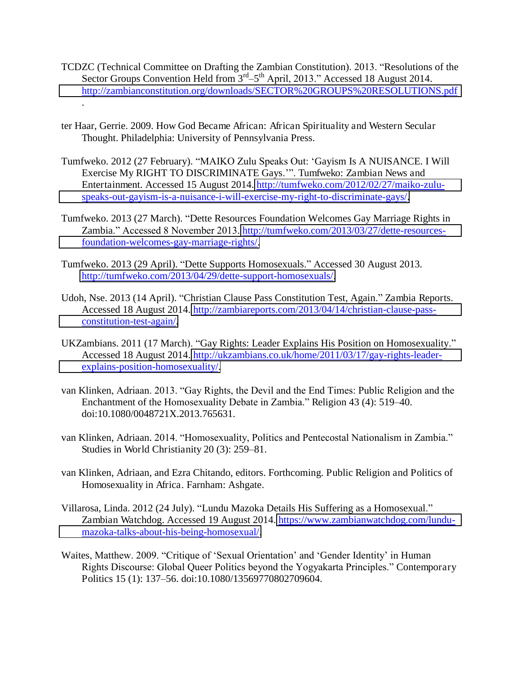- TCDZC (Technical Committee on Drafting the Zambian Constitution). 2013. "Resolutions of the Sector Groups Convention Held from  $3<sup>rd</sup>-5<sup>th</sup>$  April, 2013." Accessed 18 August 2014. <http://zambianconstitution.org/downloads/SECTOR%20GROUPS%20RESOLUTIONS.pdf>
- ter Haar, Gerrie. 2009. How God Became African: African Spirituality and Western Secular Thought. Philadelphia: University of Pennsylvania Press.

.

- Tumfweko. 2012 (27 February). "MAIKO Zulu Speaks Out: 'Gayism Is A NUISANCE. I Will Exercise My RIGHT TO DISCRIMINATE Gays.'". Tumfweko: Zambian News and Entertainment. Accessed 15 August 2014. [http://tumfweko.com/2012/02/27/maiko-zulu](http://tumfweko.com/2012/02/27/maiko-zulu-speaks-out-gayism-is-a-nuisance-i-will-exercise-my-right-to-discriminate-gays/)[speaks-out-gayism-is-a-nuisance-i-will-exercise-my-right-to-discriminate-gays/.](http://tumfweko.com/2012/02/27/maiko-zulu-speaks-out-gayism-is-a-nuisance-i-will-exercise-my-right-to-discriminate-gays/)
- Tumfweko. 2013 (27 March). "Dette Resources Foundation Welcomes Gay Marriage Rights in Zambia." Accessed 8 November 2013. [http://tumfweko.com/2013/03/27/dette-resources](http://tumfweko.com/2013/03/27/dette-resources-foundation-welcomes-gay-marriage-rights/)[foundation-welcomes-gay-marriage-rights/.](http://tumfweko.com/2013/03/27/dette-resources-foundation-welcomes-gay-marriage-rights/)
- Tumfweko. 2013 (29 April). "Dette Supports Homosexuals." Accessed 30 August 2013. [http://tumfweko.com/2013/04/29/dette-support-homosexuals/.](http://tumfweko.com/2013/04/29/dette-support-homosexuals/)
- Udoh, Nse. 2013 (14 April). "Christian Clause Pass Constitution Test, Again." Zambia Reports. Accessed 18 August 2014. [http://zambiareports.com/2013/04/14/christian-clause-pass](http://zambiareports.com/2013/04/14/christian-clause-pass-constitution-test-again/)[constitution-test-again/.](http://zambiareports.com/2013/04/14/christian-clause-pass-constitution-test-again/)
- UKZambians. 2011 (17 March). "Gay Rights: Leader Explains His Position on Homosexuality." Accessed 18 August 2014. [http://ukzambians.co.uk/home/2011/03/17/gay-rights-leader](http://ukzambians.co.uk/home/2011/03/17/gay-rights-leader-explains-position-homosexuality/)[explains-position-homosexuality/.](http://ukzambians.co.uk/home/2011/03/17/gay-rights-leader-explains-position-homosexuality/)
- van Klinken, Adriaan. 2013. "Gay Rights, the Devil and the End Times: Public Religion and the Enchantment of the Homosexuality Debate in Zambia." Religion 43 (4): 519–40. doi:10.1080/0048721X.2013.765631.
- van Klinken, Adriaan. 2014. "Homosexuality, Politics and Pentecostal Nationalism in Zambia." Studies in World Christianity 20 (3): 259–81.
- van Klinken, Adriaan, and Ezra Chitando, editors. Forthcoming. Public Religion and Politics of Homosexuality in Africa. Farnham: Ashgate.
- Villarosa, Linda. 2012 (24 July). "Lundu Mazoka Details His Suffering as a Homosexual." Zambian Watchdog. Accessed 19 August 2014. [https://www.zambianwatchdog.com/lundu](https://www.zambianwatchdog.com/lundu-mazoka-talks-about-his-being-homosexual/)[mazoka-talks-about-his-being-homosexual/.](https://www.zambianwatchdog.com/lundu-mazoka-talks-about-his-being-homosexual/)
- Waites, Matthew. 2009. "Critique of 'Sexual Orientation' and 'Gender Identity' in Human Rights Discourse: Global Queer Politics beyond the Yogyakarta Principles." Contemporary Politics 15 (1): 137–56. doi:10.1080/13569770802709604.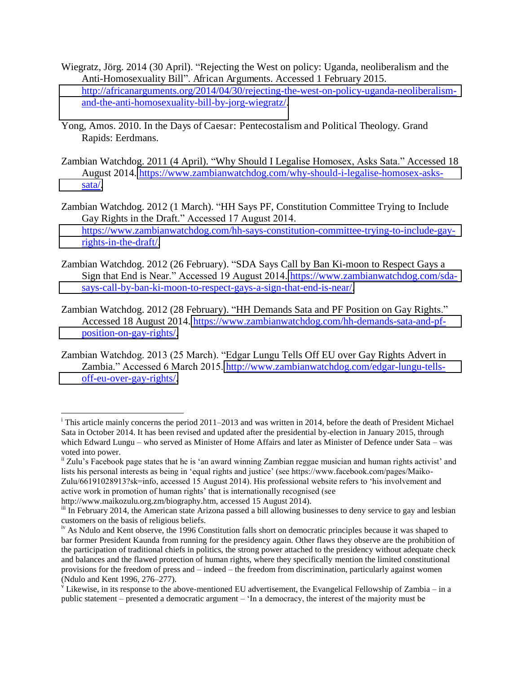- Wiegratz, Jörg. 2014 (30 April). "Rejecting the West on policy: Uganda, neoliberalism and the Anti-Homosexuality Bill". African Arguments. Accessed 1 February 2015. [http://africanarguments.org/2014/04/30/rejecting-the-west-on-policy-uganda-neoliberalism](http://africanarguments.org/2014/04/30/rejecting-the-west-on-policy-uganda-neoliberalism-and-the-anti-homosexuality-bill-by-jorg-wiegratz/)[and-the-anti-homosexuality-bill-by-jorg-wiegratz/.](http://africanarguments.org/2014/04/30/rejecting-the-west-on-policy-uganda-neoliberalism-and-the-anti-homosexuality-bill-by-jorg-wiegratz/)
- Yong, Amos. 2010. In the Days of Caesar: Pentecostalism and Political Theology. Grand Rapids: Eerdmans.
- Zambian Watchdog. 2011 (4 April). "Why Should I Legalise Homosex, Asks Sata." Accessed 18 August 2014. [https://www.zambianwatchdog.com/why-should-i-legalise-homosex-asks](https://www.zambianwatchdog.com/why-should-i-legalise-homosex-asks-sata/)[sata/.](https://www.zambianwatchdog.com/why-should-i-legalise-homosex-asks-sata/)
- Zambian Watchdog. 2012 (1 March). "HH Says PF, Constitution Committee Trying to Include Gay Rights in the Draft." Accessed 17 August 2014. [https://www.zambianwatchdog.com/hh-says-constitution-committee-trying-to-include-gay](https://www.zambianwatchdog.com/hh-says-constitution-committee-trying-to-include-gay-rights-in-the-draft/)[rights-in-the-draft/.](https://www.zambianwatchdog.com/hh-says-constitution-committee-trying-to-include-gay-rights-in-the-draft/)
- Zambian Watchdog. 2012 (26 February). "SDA Says Call by Ban Ki-moon to Respect Gays a Sign that End is Near." Accessed 19 August 2014. [https://www.zambianwatchdog.com/sda](https://www.zambianwatchdog.com/sda-says-call-by-ban-ki-moon-to-respect-gays-a-sign-that-end-is-near/)[says-call-by-ban-ki-moon-to-respect-gays-a-sign-that-end-is-near/.](https://www.zambianwatchdog.com/sda-says-call-by-ban-ki-moon-to-respect-gays-a-sign-that-end-is-near/)
- Zambian Watchdog. 2012 (28 February). "HH Demands Sata and PF Position on Gay Rights." Accessed 18 August 2014. [https://www.zambianwatchdog.com/hh-demands-sata-and-pf](https://www.zambianwatchdog.com/hh-demands-sata-and-pf-position-on-gay-rights/)[position-on-gay-rights/.](https://www.zambianwatchdog.com/hh-demands-sata-and-pf-position-on-gay-rights/)
- Zambian Watchdog. 2013 (25 March). "Edgar Lungu Tells Off EU over Gay Rights Advert in Zambia." Accessed 6 March 2015. [http://www.zambianwatchdog.com/edgar-lungu-tells](http://www.zambianwatchdog.com/edgar-lungu-tells-off-eu-over-gay-rights/)[off-eu-over-gay-rights/.](http://www.zambianwatchdog.com/edgar-lungu-tells-off-eu-over-gay-rights/)

l

<sup>&</sup>lt;sup>i</sup> This article mainly concerns the period 2011–2013 and was written in 2014, before the death of President Michael Sata in October 2014. It has been revised and updated after the presidential by-election in January 2015, through which Edward Lungu – who served as Minister of Home Affairs and later as Minister of Defence under Sata – was voted into power.

<sup>&</sup>lt;sup>ii</sup> Zulu's Facebook page states that he is 'an award winning Zambian reggae musician and human rights activist' and lists his personal interests as being in 'equal rights and justice' (see https://www.facebook.com/pages/Maiko-Zulu/66191028913?sk=info, accessed 15 August 2014). His professional website refers to 'his involvement and active work in promotion of human rights' that is internationally recognised (see

http://www.maikozulu.org.zm/biography.htm, accessed 15 August 2014).

iii In February 2014, the American state Arizona passed a bill allowing businesses to deny service to gay and lesbian customers on the basis of religious beliefs.

iv As Ndulo and Kent observe, the 1996 Constitution falls short on democratic principles because it was shaped to bar former President Kaunda from running for the presidency again. Other flaws they observe are the prohibition of the participation of traditional chiefs in politics, the strong power attached to the presidency without adequate check and balances and the flawed protection of human rights, where they specifically mention the limited constitutional provisions for the freedom of press and – indeed – the freedom from discrimination, particularly against women (Ndulo and Kent 1996, 276–277).

<sup>&</sup>lt;sup>v</sup> Likewise, in its response to the above-mentioned EU advertisement, the Evangelical Fellowship of Zambia – in a public statement – presented a democratic argument – 'In a democracy, the interest of the majority must be